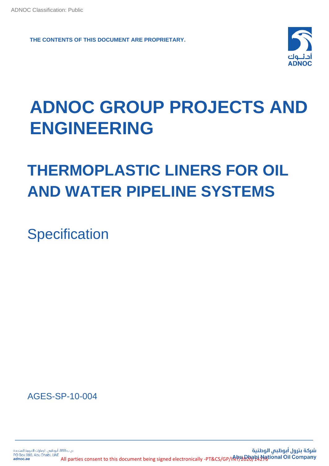**THE CONTENTS OF THIS DOCUMENT ARE PROPRIETARY.**



# **ADNOC GROUP PROJECTS AND ENGINEERING**

# **THERMOPLASTIC LINERS FOR OIL AND WATER PIPELINE SYSTEMS**

**Specification** 

AGES-SP-10-004

ص ب898، أبوظبه، الإمارات العربية المتحدة شركة بترول أبوظبى الوطنية All parties consent to this document being signed electronically -PT&CS/GP/INT/2020/14276tional Oil Company PO Box 898, Abu Dhabi, UAE adnoc.ae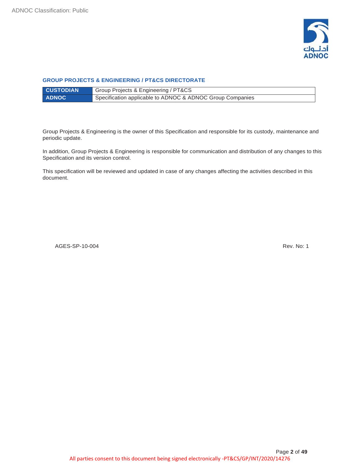

#### **GROUP PROJECTS & ENGINEERING / PT&CS DIRECTORATE**

| <b>CUSTODIAN</b> | Group Projects & Engineering / PT&CS                      |
|------------------|-----------------------------------------------------------|
| <b>ADNOC</b>     | Specification applicable to ADNOC & ADNOC Group Companies |

Group Projects & Engineering is the owner of this Specification and responsible for its custody, maintenance and periodic update.

In addition, Group Projects & Engineering is responsible for communication and distribution of any changes to this Specification and its version control.

This specification will be reviewed and updated in case of any changes affecting the activities described in this document.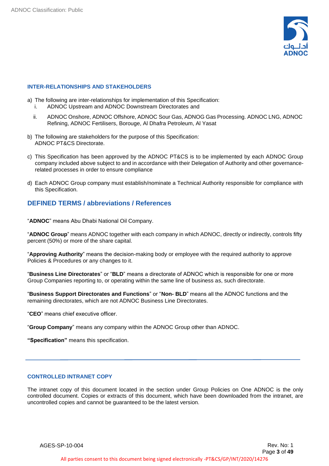

### **INTER-RELATIONSHIPS AND STAKEHOLDERS**

- a) The following are inter-relationships for implementation of this Specification:
	- i. ADNOC Upstream and ADNOC Downstream Directorates and
	- ii. ADNOC Onshore, ADNOC Offshore, ADNOC Sour Gas, ADNOG Gas Processing. ADNOC LNG, ADNOC Refining, ADNOC Fertilisers, Borouge, Al Dhafra Petroleum, Al Yasat
- b) The following are stakeholders for the purpose of this Specification: ADNOC PT&CS Directorate.
- c) This Specification has been approved by the ADNOC PT&CS is to be implemented by each ADNOC Group company included above subject to and in accordance with their Delegation of Authority and other governancerelated processes in order to ensure compliance
- d) Each ADNOC Group company must establish/nominate a Technical Authority responsible for compliance with this Specification.

# **DEFINED TERMS / abbreviations / References**

"**ADNOC**" means Abu Dhabi National Oil Company.

"**ADNOC Group**" means ADNOC together with each company in which ADNOC, directly or indirectly, controls fifty percent (50%) or more of the share capital.

"**Approving Authority**" means the decision-making body or employee with the required authority to approve Policies & Procedures or any changes to it.

"**Business Line Directorates**" or "**BLD**" means a directorate of ADNOC which is responsible for one or more Group Companies reporting to, or operating within the same line of business as, such directorate.

"**Business Support Directorates and Functions**" or "**Non- BLD**" means all the ADNOC functions and the remaining directorates, which are not ADNOC Business Line Directorates.

"**CEO**" means chief executive officer.

"**Group Company**" means any company within the ADNOC Group other than ADNOC.

**"Specification"** means this specification.

# **CONTROLLED INTRANET COPY**

The intranet copy of this document located in the section under Group Policies on One ADNOC is the only controlled document. Copies or extracts of this document, which have been downloaded from the intranet, are uncontrolled copies and cannot be guaranteed to be the latest version.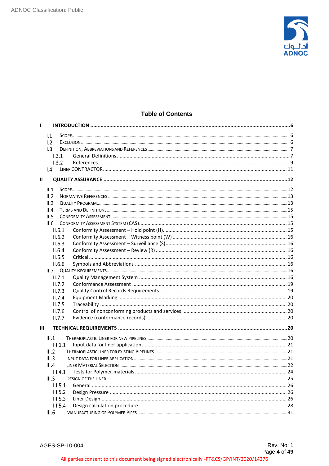

# **Table of Contents**

| 1.2 |                                                                                                                       |                                                                                                                                                                                                         |
|-----|-----------------------------------------------------------------------------------------------------------------------|---------------------------------------------------------------------------------------------------------------------------------------------------------------------------------------------------------|
|     |                                                                                                                       |                                                                                                                                                                                                         |
|     |                                                                                                                       |                                                                                                                                                                                                         |
|     |                                                                                                                       |                                                                                                                                                                                                         |
|     |                                                                                                                       |                                                                                                                                                                                                         |
|     |                                                                                                                       |                                                                                                                                                                                                         |
|     |                                                                                                                       |                                                                                                                                                                                                         |
|     |                                                                                                                       |                                                                                                                                                                                                         |
|     |                                                                                                                       |                                                                                                                                                                                                         |
|     |                                                                                                                       |                                                                                                                                                                                                         |
|     |                                                                                                                       |                                                                                                                                                                                                         |
|     |                                                                                                                       |                                                                                                                                                                                                         |
|     |                                                                                                                       |                                                                                                                                                                                                         |
|     |                                                                                                                       |                                                                                                                                                                                                         |
|     |                                                                                                                       |                                                                                                                                                                                                         |
|     |                                                                                                                       |                                                                                                                                                                                                         |
|     |                                                                                                                       |                                                                                                                                                                                                         |
|     |                                                                                                                       |                                                                                                                                                                                                         |
|     |                                                                                                                       |                                                                                                                                                                                                         |
|     |                                                                                                                       |                                                                                                                                                                                                         |
|     |                                                                                                                       |                                                                                                                                                                                                         |
|     |                                                                                                                       |                                                                                                                                                                                                         |
|     |                                                                                                                       |                                                                                                                                                                                                         |
|     |                                                                                                                       |                                                                                                                                                                                                         |
|     |                                                                                                                       |                                                                                                                                                                                                         |
|     |                                                                                                                       |                                                                                                                                                                                                         |
|     |                                                                                                                       |                                                                                                                                                                                                         |
|     |                                                                                                                       |                                                                                                                                                                                                         |
|     |                                                                                                                       |                                                                                                                                                                                                         |
|     |                                                                                                                       |                                                                                                                                                                                                         |
|     |                                                                                                                       |                                                                                                                                                                                                         |
|     |                                                                                                                       |                                                                                                                                                                                                         |
|     |                                                                                                                       |                                                                                                                                                                                                         |
|     |                                                                                                                       |                                                                                                                                                                                                         |
|     |                                                                                                                       |                                                                                                                                                                                                         |
|     |                                                                                                                       |                                                                                                                                                                                                         |
|     |                                                                                                                       |                                                                                                                                                                                                         |
|     |                                                                                                                       |                                                                                                                                                                                                         |
|     |                                                                                                                       |                                                                                                                                                                                                         |
|     | 1.1<br>1.3<br>II.1<br>II.2<br>II.3<br>II.4<br>II.5<br>II.6<br>Ш<br>III.1<br>III.2<br>III.3<br>III.4<br>III.5<br>III.6 | 1.3.1<br>1.3.2<br>II.6.1<br>II.6.2<br>II.6.3<br>II.6.4<br>II.6.5<br>II.6.6<br>II.7.1<br>II.7.2<br>II.7.3<br>II.7.4<br>II.7.5<br>II.7.6<br>II.7.7<br>III.1.1<br>III.5.1<br>III.5.2<br>III.5.3<br>III.5.4 |

All parties consent to this document being signed electronically -PT&CS/GP/INT/2020/14276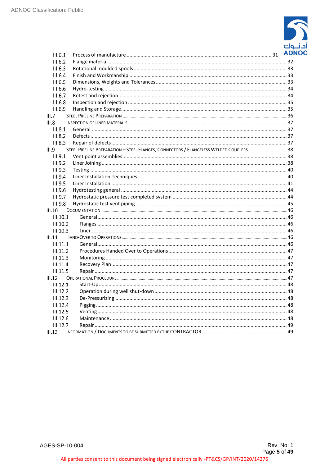

| III.6.1  |                                                                                       | <b>ADI</b> |
|----------|---------------------------------------------------------------------------------------|------------|
| III.6.2  |                                                                                       |            |
| III.6.3  |                                                                                       |            |
| III.6.4  |                                                                                       |            |
| III.6.5  |                                                                                       |            |
| III.6.6  |                                                                                       |            |
| III.6.7  |                                                                                       |            |
| III.6.8  |                                                                                       |            |
| III.6.9  |                                                                                       |            |
| III.7    |                                                                                       |            |
| III.8    |                                                                                       |            |
| III.8.1  |                                                                                       |            |
| III.8.2  |                                                                                       |            |
| III.8.3  |                                                                                       |            |
| III.9    | STEEL PIPELINE PREPARATION - STEEL FLANGES, CONNECTORS / FLANGELESS WELDED COUPLERS38 |            |
| II.9.1   |                                                                                       |            |
| III.9.2  |                                                                                       |            |
| III.9.3  |                                                                                       |            |
| III.9.4  |                                                                                       |            |
| III.9.5  |                                                                                       |            |
| III.9.6  |                                                                                       |            |
| III.9.7  |                                                                                       |            |
| III.9.8  |                                                                                       |            |
| III.10   |                                                                                       |            |
| III.10.1 |                                                                                       |            |
| III.10.2 |                                                                                       |            |
| III.10.3 |                                                                                       |            |
| III.11   |                                                                                       |            |
| III.11.1 |                                                                                       |            |
| III.11.2 |                                                                                       |            |
| III.11.3 |                                                                                       |            |
| III.11.4 |                                                                                       |            |
| III.11.5 |                                                                                       |            |
| III.12   |                                                                                       |            |
| III.12.1 |                                                                                       |            |
| III.12.2 |                                                                                       |            |
| III.12.3 |                                                                                       |            |
| II.12.4  |                                                                                       |            |
| III.12.5 |                                                                                       |            |
| III.12.6 |                                                                                       |            |
| II.12.7  |                                                                                       |            |
| III.13   |                                                                                       |            |
|          |                                                                                       |            |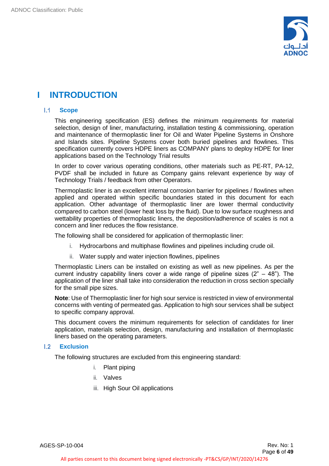

# <span id="page-5-0"></span>**I INTRODUCTION**

#### $1.1 -$ **Scope**

<span id="page-5-1"></span>This engineering specification (ES) defines the minimum requirements for material selection, design of liner, manufacturing, installation testing & commissioning, operation and maintenance of thermoplastic liner for Oil and Water Pipeline Systems in Onshore and Islands sites. Pipeline Systems cover both buried pipelines and flowlines. This specification currently covers HDPE liners as COMPANY plans to deploy HDPE for liner applications based on the Technology Trial results

In order to cover various operating conditions, other materials such as PE-RT, PA-12, PVDF shall be included in future as Company gains relevant experience by way of Technology Trials / feedback from other Operators.

Thermoplastic liner is an excellent internal corrosion barrier for pipelines / flowlines when applied and operated within specific boundaries stated in this document for each application. Other advantage of thermoplastic liner are lower thermal conductivity compared to carbon steel (lower heat loss by the fluid). Due to low surface roughness and wettability properties of thermoplastic liners, the deposition/adherence of scales is not a concern and liner reduces the flow resistance.

The following shall be considered for application of thermoplastic liner:

- i. Hydrocarbons and multiphase flowlines and pipelines including crude oil.
- ii. Water supply and water injection flowlines, pipelines

Thermoplastic Liners can be installed on existing as well as new pipelines. As per the current industry capability liners cover a wide range of pipeline sizes  $(2<sup>n</sup> - 48<sup>n</sup>)$ . The application of the liner shall take into consideration the reduction in cross section specially for the small pipe sizes.

**Note**: Use of Thermoplastic liner for high sour service is restricted in view of environmental concerns with venting of permeated gas. Application to high sour services shall be subject to specific company approval.

This document covers the minimum requirements for selection of candidates for liner application, materials selection, design, manufacturing and installation of thermoplastic liners based on the operating parameters.

#### $1.2$ **Exclusion**

<span id="page-5-2"></span>The following structures are excluded from this engineering standard:

- i. Plant piping
- ii. Valves
- iii. High Sour Oil applications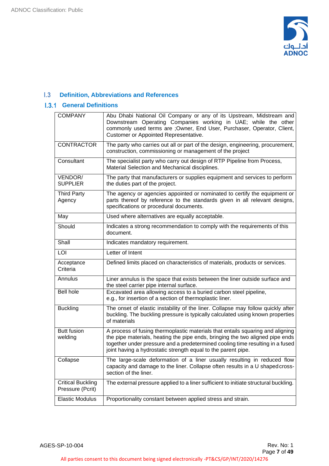

#### <span id="page-6-0"></span>**Definition, Abbreviations and References**   $1.3$

# **I.3.1 General Definitions**

<span id="page-6-1"></span>

| <b>COMPANY</b>                               | Abu Dhabi National Oil Company or any of its Upstream, Midstream and<br>Downstream Operating Companies working in UAE; while the other<br>commonly used terms are ; Owner, End User, Purchaser, Operator, Client,<br>Customer or Appointed Representative.                                                        |
|----------------------------------------------|-------------------------------------------------------------------------------------------------------------------------------------------------------------------------------------------------------------------------------------------------------------------------------------------------------------------|
| <b>CONTRACTOR</b>                            | The party who carries out all or part of the design, engineering, procurement,<br>construction, commissioning or management of the project                                                                                                                                                                        |
| Consultant                                   | The specialist party who carry out design of RTP Pipeline from Process,<br>Material Selection and Mechanical disciplines.                                                                                                                                                                                         |
| VENDOR/<br><b>SUPPLIER</b>                   | The party that manufacturers or supplies equipment and services to perform<br>the duties part of the project.                                                                                                                                                                                                     |
| <b>Third Party</b><br>Agency                 | The agency or agencies appointed or nominated to certify the equipment or<br>parts thereof by reference to the standards given in all relevant designs,<br>specifications or procedural documents.                                                                                                                |
| May                                          | Used where alternatives are equally acceptable.                                                                                                                                                                                                                                                                   |
| Should                                       | Indicates a strong recommendation to comply with the requirements of this<br>document.                                                                                                                                                                                                                            |
| Shall                                        | Indicates mandatory requirement.                                                                                                                                                                                                                                                                                  |
| LOI                                          | Letter of Intent                                                                                                                                                                                                                                                                                                  |
| Acceptance<br>Criteria                       | Defined limits placed on characteristics of materials, products or services.                                                                                                                                                                                                                                      |
| Annulus                                      | Liner annulus is the space that exists between the liner outside surface and<br>the steel carrier pipe internal surface.                                                                                                                                                                                          |
| <b>Bell hole</b>                             | Excavated area allowing access to a buried carbon steel pipeline,<br>e.g., for insertion of a section of thermoplastic liner.                                                                                                                                                                                     |
| <b>Buckling</b>                              | The onset of elastic instability of the liner. Collapse may follow quickly after<br>buckling. The buckling pressure is typically calculated using known properties<br>of materials                                                                                                                                |
| <b>Butt fusion</b><br>welding                | A process of fusing thermoplastic materials that entails squaring and aligning<br>the pipe materials, heating the pipe ends, bringing the two aligned pipe ends<br>together under pressure and a predetermined cooling time resulting in a fused<br>joint having a hydrostatic strength equal to the parent pipe. |
| Collapse                                     | The large-scale deformation of a liner usually resulting in reduced flow<br>capacity and damage to the liner. Collapse often results in a U shaped cross-<br>section of the liner.                                                                                                                                |
| <b>Critical Buckling</b><br>Pressure (Pcrit) | The external pressure applied to a liner sufficient to initiate structural buckling.                                                                                                                                                                                                                              |
| <b>Elastic Modulus</b>                       | Proportionality constant between applied stress and strain.                                                                                                                                                                                                                                                       |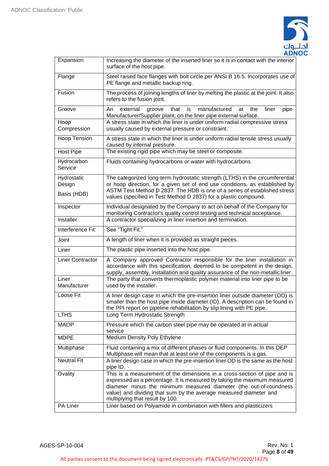

| Expansion               | Increasing the diameter of the inserted liner so it is in contact with the interior<br>surface of the host pipe.                                                                                                                                                                                                                    |  |  |  |
|-------------------------|-------------------------------------------------------------------------------------------------------------------------------------------------------------------------------------------------------------------------------------------------------------------------------------------------------------------------------------|--|--|--|
| Flange                  | Steel raised face flanges with bolt circle per ANSI B 16.5. Incorporates use of<br>PE flange and metallic backup ring.                                                                                                                                                                                                              |  |  |  |
| Fusion                  | The process of joining lengths of liner by melting the plastic at the joint. It also<br>refers to the fusion joint.                                                                                                                                                                                                                 |  |  |  |
| Groove                  | that<br>manufactured<br>the<br>An<br>external<br>is<br>at<br>liner<br>groove<br>pipe<br>Manufacturer/Supplier plant, on the liner pipe external surface.                                                                                                                                                                            |  |  |  |
| Hoop<br>Compression     | A stress state in which the liner is under uniform radial compressive stress<br>usually caused by external pressure or constraint.                                                                                                                                                                                                  |  |  |  |
| Hoop Tension            | A stress state in which the liner is under uniform radial tensile stress usually<br>caused by internal pressure.                                                                                                                                                                                                                    |  |  |  |
| <b>Host Pipe</b>        | The existing rigid pipe which may be steel or composite.                                                                                                                                                                                                                                                                            |  |  |  |
| Hydrocarbon<br>Service  | Fluids containing hydrocarbons or water with hydrocarbons.                                                                                                                                                                                                                                                                          |  |  |  |
| Hydrostatic<br>Design   | The categorized long-term hydrostatic strength (LTHS) in the circumferential<br>or hoop direction, for a given set of end use conditions, as established by                                                                                                                                                                         |  |  |  |
| Basis (HDB)             | ASTM Test Method D 2837. The HDB is one of a series of established stress<br>values (specified in Test Method D 2837) for a plastic compound.                                                                                                                                                                                       |  |  |  |
| Inspector               | Individual designated by the Company to act on behalf of the Company for<br>monitoring Contractor's quality control testing and technical acceptance.                                                                                                                                                                               |  |  |  |
| Installer               | A contractor specializing in liner insertion and termination.                                                                                                                                                                                                                                                                       |  |  |  |
| Interference Fit        | See "Tight Fit."                                                                                                                                                                                                                                                                                                                    |  |  |  |
| Joint                   | A length of liner when it is provided as straight pieces.                                                                                                                                                                                                                                                                           |  |  |  |
| Liner                   | The plastic pipe inserted into the host pipe.                                                                                                                                                                                                                                                                                       |  |  |  |
| <b>Liner Contractor</b> | A Company approved Contractor responsible for the liner installation in<br>accordance with this specification, deemed to be competent in the design,<br>supply, assembly, installation and quality assurance of the non-metallicliner.                                                                                              |  |  |  |
| Liner<br>Manufacturer   | The party that converts thermoplastic polymer material into liner pipe to be<br>used by the installer.                                                                                                                                                                                                                              |  |  |  |
| Loose Fit               | A liner design case in which the pre-insertion liner outside diameter (OD) is<br>smaller than the host pipe inside diameter (ID). A description can be found in $ $<br>the PPI report on pipeline rehabilitation by slip lining with PE pipe.                                                                                       |  |  |  |
| <b>LTHS</b>             | Long Term Hydrostatic Strength                                                                                                                                                                                                                                                                                                      |  |  |  |
| <b>MAOP</b>             | Pressure which the carbon steel pipe may be operated at in actual<br>service                                                                                                                                                                                                                                                        |  |  |  |
| <b>MDPE</b>             | Medium Density Poly Ethylene                                                                                                                                                                                                                                                                                                        |  |  |  |
| Multiphase              | Fluid containing a mix of different phases or fluid components. In this DEP<br>Multiphase will mean that at least one of the components is a gas.                                                                                                                                                                                   |  |  |  |
| <b>Neutral Fit</b>      | A liner design case in which the pre-insertion liner OD is the same as the host<br>pipe ID.                                                                                                                                                                                                                                         |  |  |  |
| Ovality                 | This is a measurement of the dimensions in a cross-section of pipe and is<br>expressed as a percentage. It is measured by taking the maximum measured<br>diameter minus the minimum measured diameter (the out-of-roundness<br>value) and dividing that sum by the average measured diameter and<br>multiplying that result by 100. |  |  |  |
| PA Liner                | Liner based on Polyamide in combination with fillers and plasticizers                                                                                                                                                                                                                                                               |  |  |  |

AGES-SP-10-004 Rev. No: 1

All parties consent to this document being signed electronically -PT&CS/GP/INT/2020/14276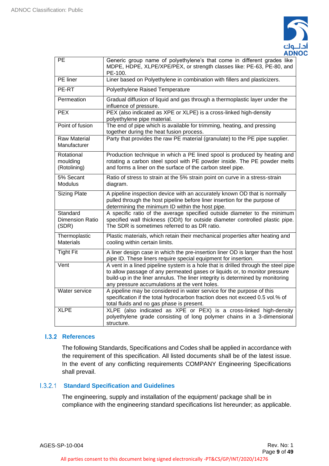

| PE                                          | Generic group name of polyethylene's that come in different grades like<br>MDPE, HDPE, XLPE/XPE/PEX, or strength classes like: PE-63, PE-80, and<br>PE-100.                                                                                                                                         |
|---------------------------------------------|-----------------------------------------------------------------------------------------------------------------------------------------------------------------------------------------------------------------------------------------------------------------------------------------------------|
| PE liner                                    | Liner based on Polyethylene in combination with fillers and plasticizers.                                                                                                                                                                                                                           |
| PE-RT                                       | Polyethylene Raised Temperature                                                                                                                                                                                                                                                                     |
| Permeation                                  | Gradual diffusion of liquid and gas through a thermoplastic layer under the<br>influence of pressure.                                                                                                                                                                                               |
| <b>PEX</b>                                  | PEX (also indicated as XPE or XLPE) is a cross-linked high-density<br>polyethylene pipe material.                                                                                                                                                                                                   |
| Point of fusion                             | The end of pipe which is available for trimming, heating, and pressing<br>together during the heat fusion process.                                                                                                                                                                                  |
| <b>Raw Material</b><br>Manufacturer         | Party that provides the raw PE material (granulate) to the PE pipe supplier.                                                                                                                                                                                                                        |
| Rotational<br>moulding<br>(Rotolining)      | Production technique in which a PE lined spool is produced by heating and<br>rotating a carbon steel spool with PE powder inside. The PE powder melts<br>and forms a liner on the surface of the carbon steel pipe.                                                                                 |
| 5% Secant<br>Modulus                        | Ratio of stress to strain at the 5% strain point on curve in a stress-strain<br>diagram.                                                                                                                                                                                                            |
| <b>Sizing Plate</b>                         | A pipeline inspection device with an accurately known OD that is normally<br>pulled through the host pipeline before liner insertion for the purpose of<br>determining the minimum ID within the host pipe.                                                                                         |
| Standard<br><b>Dimension Ratio</b><br>(SDR) | A specific ratio of the average specified outside diameter to the minimum<br>specified wall thickness (OD/t) for outside diameter controlled plastic pipe.<br>The SDR is sometimes referred to as DR ratio.                                                                                         |
| Thermoplastic<br><b>Materials</b>           | Plastic materials, which retain their mechanical properties after heating and<br>cooling within certain limits.                                                                                                                                                                                     |
| <b>Tight Fit</b>                            | A liner design case in which the pre-insertion liner OD is larger than the host<br>pipe ID. These liners require special equipment for insertion.                                                                                                                                                   |
| Vent                                        | A vent in a lined pipeline system is a hole that is drilled through the steel pipe<br>to allow passage of any permeated gases or liquids or, to monitor pressure<br>build-up in the liner annulus. The liner integrity is determined by monitoring<br>any pressure accumulations at the vent holes. |
| Water service                               | A pipeline may be considered in water service for the purpose of this<br>specification if the total hydrocarbon fraction does not exceed 0.5 vol.% of<br>total fluids and no gas phase is present.                                                                                                  |
| <b>XLPE</b>                                 | XLPE (also indicated as XPE or PEX) is a cross-linked high-density<br>polyethylene grade consisting of long polymer chains in a 3-dimensional<br>structure.                                                                                                                                         |

# **L.3.2 References**

<span id="page-8-0"></span>The following Standards, Specifications and Codes shall be applied in accordance with the requirement of this specification. All listed documents shall be of the latest issue. In the event of any conflicting requirements COMPANY Engineering Specifications shall prevail.

# **Standard Specification and Guidelines**

The engineering, supply and installation of the equipment/ package shall be in compliance with the engineering standard specifications list hereunder; as applicable.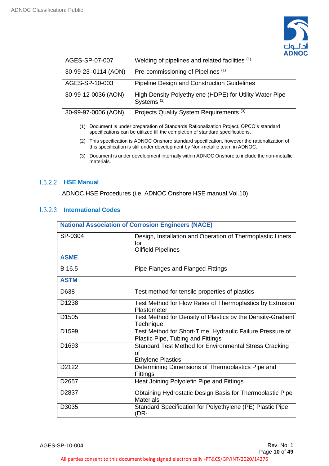

| AGES-SP-07-007      | Welding of pipelines and related facilities (1)                                   |
|---------------------|-----------------------------------------------------------------------------------|
| 30-99-23-0114 (AON) | Pre-commissioning of Pipelines <sup>(1)</sup>                                     |
| AGES-SP-10-003      | Pipeline Design and Construction Guidelines                                       |
| 30-99-12-0036 (AON) | High Density Polyethylene (HDPE) for Utility Water Pipe<br>Systems <sup>(2)</sup> |
| 30-99-97-0006 (AON) | Projects Quality System Requirements <sup>(3)</sup>                               |

- (1) Document is under preparation of Standards Rationalization Project. OPCO's standard specifications can be utilized till the completion of standard specifications.
- (2) This specification is ADNOC Onshore standard specification, however the rationalization of this specification is still under development by Non-metallic team in ADNOC.
- (3) Document is under development internally within ADNOC Onshore to include the non-metallic materials.

# **HSE Manual**

ADNOC HSE Procedures (i.e. ADNOC Onshore HSE manual Vol.10)

# **I.3.2.3** International Codes

| <b>National Association of Corrosion Engineers (NACE)</b> |                                                                                                |  |  |  |
|-----------------------------------------------------------|------------------------------------------------------------------------------------------------|--|--|--|
| SP-0304                                                   | Design, Installation and Operation of Thermoplastic Liners<br>for<br><b>Oilfield Pipelines</b> |  |  |  |
| <b>ASME</b>                                               |                                                                                                |  |  |  |
| B 16.5                                                    | Pipe Flanges and Flanged Fittings                                                              |  |  |  |
| <b>ASTM</b>                                               |                                                                                                |  |  |  |
| D638                                                      | Test method for tensile properties of plastics                                                 |  |  |  |
| D <sub>1238</sub>                                         | Test Method for Flow Rates of Thermoplastics by Extrusion<br>Plastometer                       |  |  |  |
| D <sub>1505</sub>                                         | Test Method for Density of Plastics by the Density-Gradient<br>Technique                       |  |  |  |
| D1599                                                     | Test Method for Short-Time, Hydraulic Failure Pressure of<br>Plastic Pipe, Tubing and Fittings |  |  |  |
| D <sub>1693</sub>                                         | Standard Test Method for Environmental Stress Cracking<br>of<br><b>Ethylene Plastics</b>       |  |  |  |
| D2122                                                     | Determining Dimensions of Thermoplastics Pipe and<br><b>Fittings</b>                           |  |  |  |
| D <sub>2657</sub>                                         | Heat Joining Polyolefin Pipe and Fittings                                                      |  |  |  |
| D <sub>2837</sub>                                         | Obtaining Hydrostatic Design Basis for Thermoplastic Pipe<br><b>Materials</b>                  |  |  |  |
| D3035                                                     | Standard Specification for Polyethylene (PE) Plastic Pipe<br>(DR-                              |  |  |  |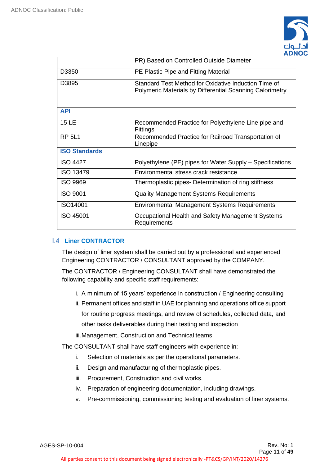

|                                               | PR) Based on Controlled Outside Diameter                                                                                |  |
|-----------------------------------------------|-------------------------------------------------------------------------------------------------------------------------|--|
| D3350<br>PE Plastic Pipe and Fitting Material |                                                                                                                         |  |
| D3895                                         | Standard Test Method for Oxidative Induction Time of<br><b>Polymeric Materials by Differential Scanning Calorimetry</b> |  |
| <b>API</b>                                    |                                                                                                                         |  |
| <b>15 LE</b>                                  | Recommended Practice for Polyethylene Line pipe and<br>Fittings                                                         |  |
| <b>RP 5L1</b>                                 | Recommended Practice for Railroad Transportation of<br>Linepipe                                                         |  |
| <b>ISO Standards</b>                          |                                                                                                                         |  |
| <b>ISO 4427</b>                               | Polyethylene (PE) pipes for Water Supply – Specifications                                                               |  |
| <b>ISO 13479</b>                              | Environmental stress crack resistance                                                                                   |  |
| <b>ISO 9969</b>                               | Thermoplastic pipes- Determination of ring stiffness                                                                    |  |
| <b>ISO 9001</b>                               | <b>Quality Management Systems Requirements</b>                                                                          |  |
| ISO14001                                      | <b>Environmental Management Systems Requirements</b>                                                                    |  |
| ISO 45001                                     | Occupational Health and Safety Management Systems<br>Requirements                                                       |  |

# <span id="page-10-0"></span>**Liner CONTRACTOR**

The design of liner system shall be carried out by a professional and experienced Engineering CONTRACTOR / CONSULTANT approved by the COMPANY.

The CONTRACTOR / Engineering CONSULTANT shall have demonstrated the following capability and specific staff requirements:

- i. A minimum of 15 years' experience in construction / Engineering consulting
- ii. Permanent offices and staff in UAE for planning and operations office support for routine progress meetings, and review of schedules, collected data, and other tasks deliverables during their testing and inspection
- iii.Management, Construction and Technical teams

The CONSULTANT shall have staff engineers with experience in:

- i. Selection of materials as per the operational parameters.
- ii. Design and manufacturing of thermoplastic pipes.
- iii. Procurement, Construction and civil works.
- iv. Preparation of engineering documentation, including drawings.
- v. Pre-commissioning, commissioning testing and evaluation of liner systems.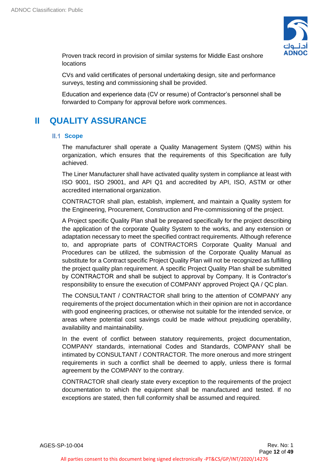

Proven track record in provision of similar systems for Middle East onshore locations

CVs and valid certificates of personal undertaking design, site and performance surveys, testing and commissioning shall be provided.

Education and experience data (CV or resume) of Contractor's personnel shall be forwarded to Company for approval before work commences.

# <span id="page-11-0"></span>**II QUALITY ASSURANCE**

# <span id="page-11-1"></span>**II.1 Scope**

The manufacturer shall operate a Quality Management System (QMS) within his organization, which ensures that the requirements of this Specification are fully achieved.

The Liner Manufacturer shall have activated quality system in compliance at least with ISO 9001, ISO 29001, and API Q1 and accredited by API, ISO, ASTM or other accredited international organization.

CONTRACTOR shall plan, establish, implement, and maintain a Quality system for the Engineering, Procurement, Construction and Pre-commissioning of the project.

A Project specific Quality Plan shall be prepared specifically for the project describing the application of the corporate Quality System to the works, and any extension or adaptation necessary to meet the specified contract requirements. Although reference to, and appropriate parts of CONTRACTORS Corporate Quality Manual and Procedures can be utilized, the submission of the Corporate Quality Manual as substitute for a Contract specific Project Quality Plan will not be recognized as fulfilling the project quality plan requirement. A specific Project Quality Plan shall be submitted by CONTRACTOR and shall be subject to approval by Company. It is Contractor's responsibility to ensure the execution of COMPANY approved Project QA / QC plan.

The CONSULTANT / CONTRACTOR shall bring to the attention of COMPANY any requirements of the project documentation which in their opinion are not in accordance with good engineering practices, or otherwise not suitable for the intended service, or areas where potential cost savings could be made without prejudicing operability, availability and maintainability.

In the event of conflict between statutory requirements, project documentation, COMPANY standards, international Codes and Standards, COMPANY shall be intimated by CONSULTANT / CONTRACTOR. The more onerous and more stringent requirements in such a conflict shall be deemed to apply, unless there is formal agreement by the COMPANY to the contrary.

CONTRACTOR shall clearly state every exception to the requirements of the project documentation to which the equipment shall be manufactured and tested. If no exceptions are stated, then full conformity shall be assumed and required.

AGES-SP-10-004 Rev. No: 1

All parties consent to this document being signed electronically -PT&CS/GP/INT/2020/14276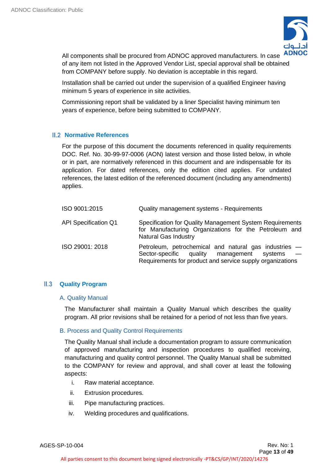

All components shall be procured from ADNOC approved manufacturers. In case of any item not listed in the Approved Vendor List, special approval shall be obtained from COMPANY before supply. No deviation is acceptable in this regard.

Installation shall be carried out under the supervision of a qualified Engineer having minimum 5 years of experience in site activities.

Commissioning report shall be validated by a liner Specialist having minimum ten years of experience, before being submitted to COMPANY.

# <span id="page-12-0"></span>**Normative References**

For the purpose of this document the documents referenced in quality requirements DOC. Ref. No. 30-99-97-0006 (AON) latest version and those listed below, in whole or in part, are normatively referenced in this document and are indispensable for its application. For dated references, only the edition cited applies. For undated references, the latest edition of the referenced document (including any amendments) applies.

| ISO 9001:2015               | Quality management systems - Requirements                                                                                                                        |
|-----------------------------|------------------------------------------------------------------------------------------------------------------------------------------------------------------|
| <b>API Specification Q1</b> | Specification for Quality Management System Requirements<br>for Manufacturing Organizations for the Petroleum and<br><b>Natural Gas Industry</b>                 |
| ISO 29001: 2018             | Petroleum, petrochemical and natural gas industries -<br>Sector-specific quality management systems<br>Requirements for product and service supply organizations |

# <span id="page-12-1"></span>**Quality Program**

# A. Quality Manual

The Manufacturer shall maintain a Quality Manual which describes the quality program. All prior revisions shall be retained for a period of not less than five years.

# B. Process and Quality Control Requirements

The Quality Manual shall include a documentation program to assure communication of approved manufacturing and inspection procedures to qualified receiving, manufacturing and quality control personnel. The Quality Manual shall be submitted to the COMPANY for review and approval, and shall cover at least the following aspects:

- i. Raw material acceptance.
- ii. Extrusion procedures.
- iii. Pipe manufacturing practices.
- iv. Welding procedures and qualifications.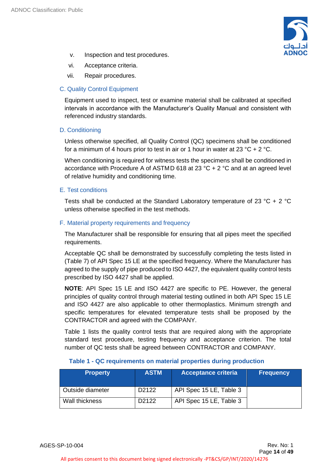

- v. Inspection and test procedures.
- vi. Acceptance criteria.
- vii. Repair procedures.

# C. Quality Control Equipment

Equipment used to inspect, test or examine material shall be calibrated at specified intervals in accordance with the Manufacturer's Quality Manual and consistent with referenced industry standards.

# D. Conditioning

Unless otherwise specified, all Quality Control (QC) specimens shall be conditioned for a minimum of 4 hours prior to test in air or 1 hour in water at 23 °C + 2 °C.

When conditioning is required for witness tests the specimens shall be conditioned in accordance with Procedure A of ASTMD 618 at 23  $^{\circ}$ C + 2  $^{\circ}$ C and at an agreed level of relative humidity and conditioning time.

# E. Test conditions

Tests shall be conducted at the Standard Laboratory temperature of 23  $^{\circ}$ C + 2  $^{\circ}$ C unless otherwise specified in the test methods.

# F. Material property requirements and frequency

The Manufacturer shall be responsible for ensuring that all pipes meet the specified requirements.

Acceptable QC shall be demonstrated by successfully completing the tests listed in (Table 7) of API Spec 15 LE at the specified frequency. Where the Manufacturer has agreed to the supply of pipe produced to ISO 4427, the equivalent quality control tests prescribed by ISO 4427 shall be applied.

**NOTE**: API Spec 15 LE and ISO 4427 are specific to PE. However, the general principles of quality control through material testing outlined in both API Spec 15 LE and ISO 4427 are also applicable to other thermoplastics. Minimum strength and specific temperatures for elevated temperature tests shall be proposed by the CONTRACTOR and agreed with the COMPANY.

Table 1 lists the quality control tests that are required along with the appropriate standard test procedure, testing frequency and acceptance criterion. The total number of QC tests shall be agreed between CONTRACTOR and COMPANY.

|  |  | Table 1 - QC requirements on material properties during production |  |
|--|--|--------------------------------------------------------------------|--|
|--|--|--------------------------------------------------------------------|--|

| <b>Property</b>  | <b>ASTM</b>        | <b>Acceptance criteria</b> | <b>Frequency</b> |
|------------------|--------------------|----------------------------|------------------|
| Outside diameter | D <sub>2</sub> 122 | API Spec 15 LE, Table 3    |                  |
| Wall thickness   | D <sub>2122</sub>  | API Spec 15 LE, Table 3    |                  |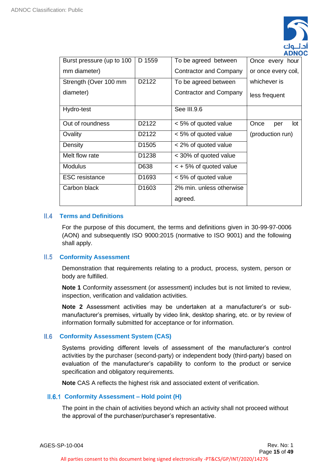

|                           |                    |                            | ╌                   |
|---------------------------|--------------------|----------------------------|---------------------|
| Burst pressure (up to 100 | D 1559             | To be agreed between       | Once every hour     |
| mm diameter)              |                    | Contractor and Company     | or once every coil, |
| Strength (Over 100 mm     | D <sub>2</sub> 122 | To be agreed between       | whichever is        |
| diameter)                 |                    | Contractor and Company     | less frequent       |
| Hydro-test                |                    | See III.9.6                |                     |
| Out of roundness          | D2122              | < 5% of quoted value       | Once<br>lot<br>per  |
| Ovality                   | D2122              | < 5% of quoted value       | (production run)    |
| Density                   | D <sub>1505</sub>  | < 2% of quoted value       |                     |
| Melt flow rate            | D <sub>1238</sub>  | < 30% of quoted value      |                     |
| <b>Modulus</b>            | D638               | $\lt$ + 5% of quoted value |                     |
| <b>ESC</b> resistance     | D <sub>1693</sub>  | < 5% of quoted value       |                     |
| Carbon black              | D <sub>1603</sub>  | 2% min. unless otherwise   |                     |
|                           |                    | agreed.                    |                     |

# **Terms and Definitions**

<span id="page-14-0"></span>For the purpose of this document, the terms and definitions given in 30-99-97-0006 (AON) and subsequently ISO 9000:2015 (normative to ISO 9001) and the following shall apply.

# **Conformity Assessment**

<span id="page-14-1"></span>Demonstration that requirements relating to a product, process, system, person or body are fulfilled.

**Note 1** Conformity assessment (or assessment) includes but is not limited to review, inspection, verification and validation activities.

**Note 2** Assessment activities may be undertaken at a manufacturer's or submanufacturer's premises, virtually by video link, desktop sharing, etc. or by review of information formally submitted for acceptance or for information.

# **Conformity Assessment System (CAS)**

<span id="page-14-2"></span>Systems providing different levels of assessment of the manufacturer's control activities by the purchaser (second-party) or independent body (third-party) based on evaluation of the manufacturer's capability to conform to the product or service specification and obligatory requirements.

<span id="page-14-3"></span>**Note** CAS A reflects the highest risk and associated extent of verification.

# **II.6.1 Conformity Assessment – Hold point (H)**

The point in the chain of activities beyond which an activity shall not proceed without the approval of the purchaser/purchaser's representative.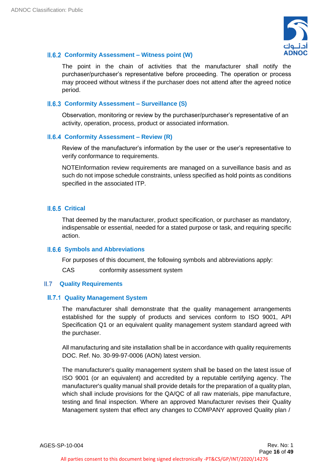

# **Conformity Assessment – Witness point (W)**

<span id="page-15-0"></span>The point in the chain of activities that the manufacturer shall notify the purchaser/purchaser's representative before proceeding. The operation or process may proceed without witness if the purchaser does not attend after the agreed notice period.

# **Conformity Assessment – Surveillance (S)**

<span id="page-15-1"></span>Observation, monitoring or review by the purchaser/purchaser's representative of an activity, operation, process, product or associated information.

# **II.6.4 Conformity Assessment – Review (R)**

<span id="page-15-2"></span>Review of the manufacturer's information by the user or the user's representative to verify conformance to requirements.

NOTEInformation review requirements are managed on a surveillance basis and as such do not impose schedule constraints, unless specified as hold points as conditions specified in the associated ITP.

# **II.6.5 Critical**

<span id="page-15-3"></span>That deemed by the manufacturer, product specification, or purchaser as mandatory, indispensable or essential, needed for a stated purpose or task, and requiring specific action.

# **II.6.6 Symbols and Abbreviations**

<span id="page-15-4"></span>For purposes of this document, the following symbols and abbreviations apply:

<span id="page-15-5"></span>CAS conformity assessment system

# **Quality Requirements**

# **II.7.1 Quality Management System**

<span id="page-15-6"></span>The manufacturer shall demonstrate that the quality management arrangements established for the supply of products and services conform to ISO 9001, API Specification Q1 or an equivalent quality management system standard agreed with the purchaser.

All manufacturing and site installation shall be in accordance with quality requirements DOC. Ref. No. 30-99-97-0006 (AON) latest version.

The manufacturer's quality management system shall be based on the latest issue of ISO 9001 (or an equivalent) and accredited by a reputable certifying agency. The manufacturer's quality manual shall provide details for the preparation of a quality plan, which shall include provisions for the QA/QC of all raw materials, pipe manufacture, testing and final inspection. Where an approved Manufacturer revises their Quality Management system that effect any changes to COMPANY approved Quality plan /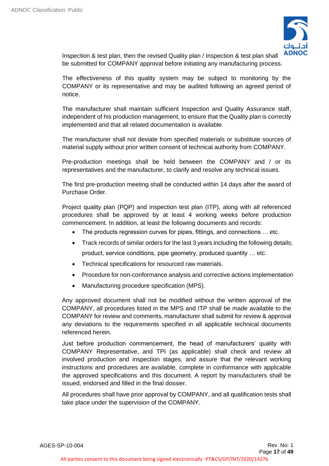

Inspection & test plan, then the revised Quality plan / Inspection & test plan shall be submitted for COMPANY approval before initiating any manufacturing process.

The effectiveness of this quality system may be subject to monitoring by the COMPANY or its representative and may be audited following an agreed period of notice.

The manufacturer shall maintain sufficient Inspection and Quality Assurance staff, independent of his production management, to ensure that the Quality plan is correctly implemented and that all related documentation is available.

The manufacturer shall not deviate from specified materials or substitute sources of material supply without prior written consent of technical authority from COMPANY.

Pre-production meetings shall be held between the COMPANY and / or its representatives and the manufacturer, to clarify and resolve any technical issues.

The first pre-production meeting shall be conducted within 14 days after the award of Purchase Order.

Project quality plan (PQP) and inspection test plan (ITP), along with all referenced procedures shall be approved by at least 4 working weeks before production commencement. In addition, at least the following documents and records:

- The products regression curves for pipes, fittings, and connections ... etc.
- Track records of similar orders for the last 3 years including the following details; product, service conditions, pipe geometry, produced quantity … etc.
- Technical specifications for resourced raw materials.
- Procedure for non-conformance analysis and corrective actions implementation
- Manufacturing procedure specification (MPS).

Any approved document shall not be modified without the written approval of the COMPANY, all procedures listed in the MPS and ITP shall be made available to the COMPANY for review and comments, manufacturer shall submit for review & approval any deviations to the requirements specified in all applicable technical documents referenced herein.

Just before production commencement, the head of manufacturers' quality with COMPANY Representative, and TPI (as applicable) shall check and review all involved production and inspection stages, and assure that the relevant working instructions and procedures are available, complete in conformance with applicable the approved specifications and this document. A report by manufacturers shall be issued, endorsed and filled in the final dossier.

All procedures shall have prior approval by COMPANY, and all qualification tests shall take place under the supervision of the COMPANY.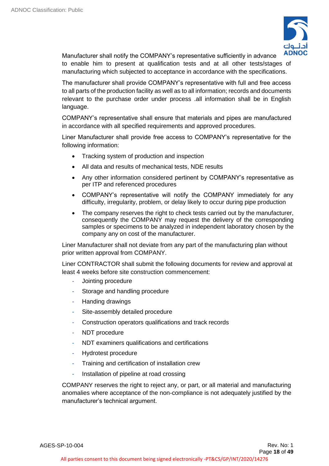

Manufacturer shall notify the COMPANY's representative sufficiently in advance to enable him to present at qualification tests and at all other tests/stages of manufacturing which subjected to acceptance in accordance with the specifications.

The manufacturer shall provide COMPANY's representative with full and free access to all parts of the production facility as well as to all information; records and documents relevant to the purchase order under process .all information shall be in English language.

COMPANY's representative shall ensure that materials and pipes are manufactured in accordance with all specified requirements and approved procedures.

Liner Manufacturer shall provide free access to COMPANY's representative for the following information:

- Tracking system of production and inspection
- All data and results of mechanical tests, NDE results
- Any other information considered pertinent by COMPANY's representative as per ITP and referenced procedures
- COMPANY's representative will notify the COMPANY immediately for any difficulty, irregularity, problem, or delay likely to occur during pipe production
- The company reserves the right to check tests carried out by the manufacturer, consequently the COMPANY may request the delivery of the corresponding samples or specimens to be analyzed in independent laboratory chosen by the company any on cost of the manufacturer.

Liner Manufacturer shall not deviate from any part of the manufacturing plan without prior written approval from COMPANY.

Liner CONTRACTOR shall submit the following documents for review and approval at least 4 weeks before site construction commencement:

- Jointing procedure
- Storage and handling procedure
- Handing drawings
- Site-assembly detailed procedure
- Construction operators qualifications and track records
- NDT procedure
- NDT examiners qualifications and certifications
- Hydrotest procedure
- Training and certification of installation crew
- Installation of pipeline at road crossing

COMPANY reserves the right to reject any, or part, or all material and manufacturing anomalies where acceptance of the non-compliance is not adequately justified by the manufacturer's technical argument.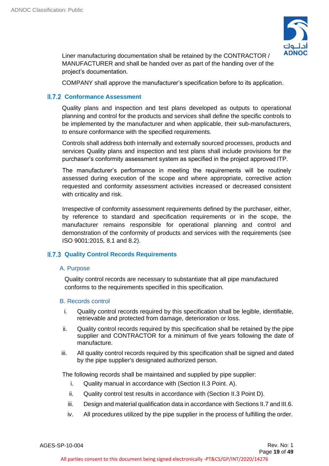

Liner manufacturing documentation shall be retained by the CONTRACTOR / MANUFACTURER and shall be handed over as part of the handing over of the project's documentation.

<span id="page-18-0"></span>COMPANY shall approve the manufacturer's specification before to its application.

# **II.7.2 Conformance Assessment**

Quality plans and inspection and test plans developed as outputs to operational planning and control for the products and services shall define the specific controls to be implemented by the manufacturer and when applicable, their sub-manufacturers, to ensure conformance with the specified requirements.

Controls shall address both internally and externally sourced processes, products and services Quality plans and inspection and test plans shall include provisions for the purchaser's conformity assessment system as specified in the project approved ITP.

The manufacturer's performance in meeting the requirements will be routinely assessed during execution of the scope and where appropriate, corrective action requested and conformity assessment activities increased or decreased consistent with criticality and risk.

Irrespective of conformity assessment requirements defined by the purchaser, either, by reference to standard and specification requirements or in the scope, the manufacturer remains responsible for operational planning and control and demonstration of the conformity of products and services with the requirements (see ISO 9001:2015, 8.1 and 8.2).

# <span id="page-18-1"></span>**II.7.3 Quality Control Records Requirements**

# A. Purpose

Quality control records are necessary to substantiate that all pipe manufactured conforms to the requirements specified in this specification.

# B. Records control

- i. Quality control records required by this specification shall be legible, identifiable, retrievable and protected from damage, deterioration or loss.
- ii. Quality control records required by this specification shall be retained by the pipe supplier and CONTRACTOR for a minimum of five years following the date of manufacture.
- iii. All quality control records required by this specification shall be signed and dated by the pipe supplier's designated authorized person.

The following records shall be maintained and supplied by pipe supplier:

- i. Quality manual in accordance with (Section II.3 Point. A).
- ii. Quality control test results in accordance with (Section II.3 Point D).
- iii. Design and material qualification data in accordance with Sections II.7 and III.6.
- iv. All procedures utilized by the pipe supplier in the process of fulfilling the order.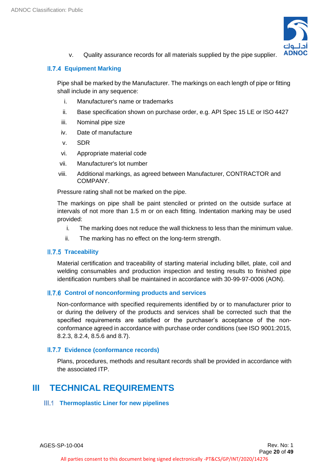

<span id="page-19-0"></span>v. Quality assurance records for all materials supplied by the pipe supplier.

# **Equipment Marking**

Pipe shall be marked by the Manufacturer. The markings on each length of pipe or fitting shall include in any sequence:

- i. Manufacturer's name or trademarks
- ii. Base specification shown on purchase order, e.g. API Spec 15 LE or ISO 4427
- iii. Nominal pipe size
- iv. Date of manufacture
- v. SDR
- vi. Appropriate material code
- vii. Manufacturer's lot number
- viii. Additional markings, as agreed between Manufacturer, CONTRACTOR and COMPANY.

Pressure rating shall not be marked on the pipe.

The markings on pipe shall be paint stenciled or printed on the outside surface at intervals of not more than 1.5 m or on each fitting. Indentation marking may be used provided:

- i. The marking does not reduce the wall thickness to less than the minimum value.
- ii. The marking has no effect on the long-term strength.

# **II.7.5 Traceability**

<span id="page-19-1"></span>Material certification and traceability of starting material including billet, plate, coil and welding consumables and production inspection and testing results to finished pipe identification numbers shall be maintained in accordance with 30-99-97-0006 (AON).

# **II.7.6 Control of nonconforming products and services**

<span id="page-19-2"></span>Non-conformance with specified requirements identified by or to manufacturer prior to or during the delivery of the products and services shall be corrected such that the specified requirements are satisfied or the purchaser's acceptance of the nonconformance agreed in accordance with purchase order conditions (see ISO 9001:2015, 8.2.3, 8.2.4, 8.5.6 and 8.7).

# **Evidence (conformance records)**

<span id="page-19-3"></span>Plans, procedures, methods and resultant records shall be provided in accordance with the associated ITP.

# <span id="page-19-4"></span>**III TECHNICAL REQUIREMENTS**

# <span id="page-19-5"></span>**Thermoplastic Liner for new pipelines**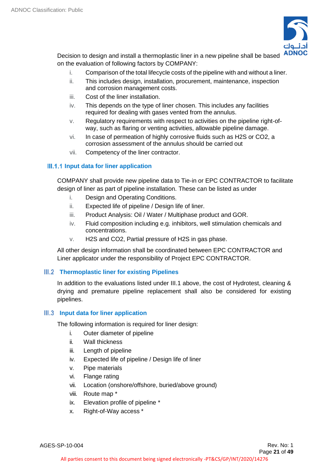

Decision to design and install a thermoplastic liner in a new pipeline shall be based on the evaluation of following factors by COMPANY:

- i. Comparison of the total lifecycle costs of the pipeline with and without a liner.
- ii. This includes design, installation, procurement, maintenance, inspection and corrosion management costs.
- iii. Cost of the liner installation.
- iv. This depends on the type of liner chosen. This includes any facilities required for dealing with gases vented from the annulus.
- v. Regulatory requirements with respect to activities on the pipeline right-ofway, such as flaring or venting activities, allowable pipeline damage.
- vi. In case of permeation of highly corrosive fluids such as H2S or CO2, a corrosion assessment of the annulus should be carried out
- <span id="page-20-0"></span>vii. Competency of the liner contractor.

# **III.1.1 Input data for liner application**

COMPANY shall provide new pipeline data to Tie-in or EPC CONTRACTOR to facilitate design of liner as part of pipeline installation. These can be listed as under

- i. Design and Operating Conditions.
- ii. Expected life of pipeline / Design life of liner.
- iii. Product Analysis: Oil / Water / Multiphase product and GOR.
- iv. Fluid composition including e.g. inhibitors, well stimulation chemicals and concentrations.
- v. H2S and CO2, Partial pressure of H2S in gas phase.

All other design information shall be coordinated between EPC CONTRACTOR and Liner applicator under the responsibility of Project EPC CONTRACTOR.

# **Thermoplastic liner for existing Pipelines**

<span id="page-20-1"></span>In addition to the evaluations listed under III.1 above, the cost of Hydrotest, cleaning & drying and premature pipeline replacement shall also be considered for existing pipelines.

# **Input data for liner application**

<span id="page-20-2"></span>The following information is required for liner design:

- i. Outer diameter of pipeline
- ii. Wall thickness
- iii. Length of pipeline
- iv. Expected life of pipeline / Design life of liner
- v. Pipe materials
- vi. Flange rating
- vii. Location (onshore/offshore, buried/above ground)
- viii. Route map \*
- ix. Elevation profile of pipeline \*
- x. Right-of-Way access \*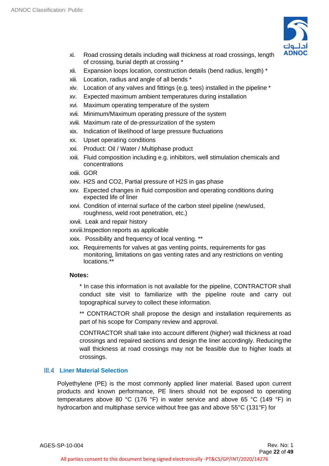

- xi. Road crossing details including wall thickness at road crossings, length of crossing, burial depth at crossing \*
- xii. Expansion loops location, construction details (bend radius, length) \*
- xiii. Location, radius and angle of all bends \*
- xiv. Location of any valves and fittings (e.g. tees) installed in the pipeline \*
- xv. Expected maximum ambient temperatures during installation
- xvi. Maximum operating temperature of the system
- xvii. Minimum/Maximum operating pressure of the system
- xviii. Maximum rate of de-pressurization of the system
- xix. Indication of likelihood of large pressure fluctuations
- xx. Upset operating conditions
- xxi. Product: Oil / Water / Multiphase product
- xxii. Fluid composition including e.g. inhibitors, well stimulation chemicals and concentrations
- xxiii. GOR
- xxiv. H2S and CO2, Partial pressure of H2S in gas phase
- xxv. Expected changes in fluid composition and operating conditions during expected life of liner
- xxvi. Condition of internal surface of the carbon steel pipeline (new/used, roughness, weld root penetration, etc.)
- xxvii. Leak and repair history
- xxviii.Inspection reports as applicable
- xxix. Possibility and frequency of local venting. \*\*
- xxx. Requirements for valves at gas venting points, requirements for gas monitoring, limitations on gas venting rates and any restrictions on venting locations.\*\*

# **Notes:**

\* In case this information is not available for the pipeline, CONTRACTOR shall conduct site visit to familiarize with the pipeline route and carry out topographical survey to collect these information.

\*\* CONTRACTOR shall propose the design and installation requirements as part of his scope for Company review and approval.

CONTRACTOR shall take into account different (higher) wall thickness at road crossings and repaired sections and design the liner accordingly. Reducing the wall thickness at road crossings may not be feasible due to higher loads at crossings.

# <span id="page-21-0"></span>**Liner Material Selection**

Polyethylene (PE) is the most commonly applied liner material. Based upon current products and known performance, PE liners should not be exposed to operating temperatures above 80 °C (176 °F) in water service and above 65 °C (149 °F) in hydrocarbon and multiphase service without free gas and above 55°C (131°F) for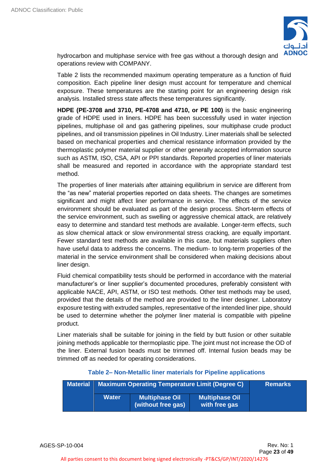

hydrocarbon and multiphase service with free gas without a thorough design and operations review with COMPANY.

Table 2 lists the recommended maximum operating temperature as a function of fluid composition. Each pipeline liner design must account for temperature and chemical exposure. These temperatures are the starting point for an engineering design risk analysis. Installed stress state affects these temperatures significantly.

**HDPE (PE-3708 and 3710, PE-4708 and 4710, or PE 100)** is the basic engineering grade of HDPE used in liners. HDPE has been successfully used in water injection pipelines, multiphase oil and gas gathering pipelines, sour multiphase crude product pipelines, and oil transmission pipelines in Oil Industry. Liner materials shall be selected based on mechanical properties and chemical resistance information provided by the thermoplastic polymer material supplier or other generally accepted information source such as ASTM, ISO, CSA, API or PPI standards. Reported properties of liner materials shall be measured and reported in accordance with the appropriate standard test method.

The properties of liner materials after attaining equilibrium in service are different from the "as new" material properties reported on data sheets. The changes are sometimes significant and might affect liner performance in service. The effects of the service environment should be evaluated as part of the design process. Short-term effects of the service environment, such as swelling or aggressive chemical attack, are relatively easy to determine and standard test methods are available. Longer-term effects, such as slow chemical attack or slow environmental stress cracking, are equally important. Fewer standard test methods are available in this case, but materials suppliers often have useful data to address the concerns. The medium- to long-term properties of the material in the service environment shall be considered when making decisions about liner design.

Fluid chemical compatibility tests should be performed in accordance with the material manufacturer's or liner supplier's documented procedures, preferably consistent with applicable NACE, API, ASTM, or ISO test methods. Other test methods may be used, provided that the details of the method are provided to the liner designer. Laboratory exposure testing with extruded samples, representative of the intended liner pipe, should be used to determine whether the polymer liner material is compatible with pipeline product.

Liner materials shall be suitable for joining in the field by butt fusion or other suitable joining methods applicable tor thermoplastic pipe. The joint must not increase the OD of the liner. External fusion beads must be trimmed off. Internal fusion beads may be trimmed off as needed for operating considerations.

| <b>Material</b> | <b>Maximum Operating Temperature Limit (Degree C)</b> |                                             | <b>Remarks</b>                         |  |
|-----------------|-------------------------------------------------------|---------------------------------------------|----------------------------------------|--|
|                 | <b>Water</b>                                          | <b>Multiphase Oil</b><br>(without free gas) | <b>Multiphase Oil</b><br>with free gas |  |

# **Table 2– Non-Metallic liner materials for Pipeline applications**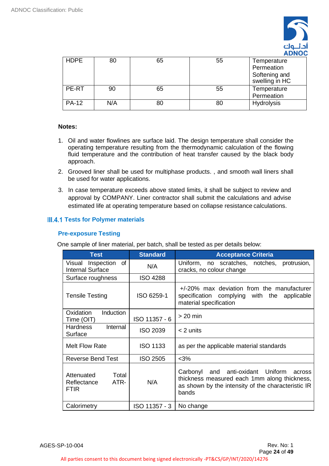

| <b>HDPE</b>  | 80  | 65 | 55 | Temperature<br>Permeation<br>Softening and |
|--------------|-----|----|----|--------------------------------------------|
|              |     |    |    | swelling in HC                             |
| PE-RT        | 90  | 65 | 55 | Temperature                                |
|              |     |    |    | Permeation                                 |
| <b>PA-12</b> | N/A | 80 | 80 | Hydrolysis                                 |

# **Notes:**

- 1. Oil and water flowlines are surface laid. The design temperature shall consider the operating temperature resulting from the thermodynamic calculation of the flowing fluid temperature and the contribution of heat transfer caused by the black body approach.
- 2. Grooved liner shall be used for multiphase products. , and smooth wall liners shall be used for water applications.
- 3. In case temperature exceeds above stated limits, it shall be subject to review and approval by COMPANY. Liner contractor shall submit the calculations and advise estimated life at operating temperature based on collapse resistance calculations.

# <span id="page-23-0"></span>**III.4.1 Tests for Polymer materials**

# **Pre-exposure Testing**

One sample of liner material, per batch, shall be tested as per details below:

| <b>Test</b>                                               | <b>Standard</b> | <b>Acceptance Criteria</b>                                                                                                                                    |  |
|-----------------------------------------------------------|-----------------|---------------------------------------------------------------------------------------------------------------------------------------------------------------|--|
| of<br>Inspection<br>Visual<br><b>Internal Surface</b>     | N/A             | Uniform, no scratches, notches,<br>protrusion,<br>cracks, no colour change                                                                                    |  |
| Surface roughness                                         | <b>ISO 4288</b> |                                                                                                                                                               |  |
| <b>Tensile Testing</b>                                    | ISO 6259-1      | $+/-20\%$ max deviation from the manufacturer<br>specification complying with the<br>applicable<br>material specification                                     |  |
| Induction<br>Oxidation<br>Time (OIT)                      | ISO 11357 - 6   | $> 20$ min                                                                                                                                                    |  |
| <b>Hardness</b><br>Internal<br>Surface                    | <b>ISO 2039</b> | $<$ 2 units                                                                                                                                                   |  |
| Melt Flow Rate                                            | <b>ISO 1133</b> | as per the applicable material standards                                                                                                                      |  |
| Reverse Bend Test                                         | <b>ISO 2505</b> | $<$ 3%                                                                                                                                                        |  |
| Total<br>Attenuated<br>ATR-<br>Reflectance<br><b>FTIR</b> | N/A             | and anti-oxidant Uniform<br>Carbonyl<br>across<br>thickness measured each 1mm along thickness,<br>as shown by the intensity of the characteristic IR<br>bands |  |
| Calorimetry                                               | ISO 11357 - 3   | No change                                                                                                                                                     |  |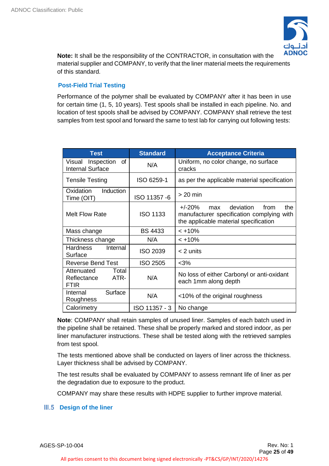

**Note:** It shall be the responsibility of the CONTRACTOR, in consultation with the material supplier and COMPANY, to verify that the liner material meets the requirements of this standard.

# **Post-Field Trial Testing**

Performance of the polymer shall be evaluated by COMPANY after it has been in use for certain time (1, 5, 10 years). Test spools shall be installed in each pipeline. No. and location of test spools shall be advised by COMPANY. COMPANY shall retrieve the test samples from test spool and forward the same to test lab for carrying out following tests:

| <b>Standard</b><br><b>Test</b>                            |                 | <b>Acceptance Criteria</b>                                                                                                        |  |
|-----------------------------------------------------------|-----------------|-----------------------------------------------------------------------------------------------------------------------------------|--|
| Inspection<br>of<br>Visual<br><b>Internal Surface</b>     | N/A             | Uniform, no color change, no surface<br>cracks                                                                                    |  |
| <b>Tensile Testing</b>                                    | ISO 6259-1      | as per the applicable material specification                                                                                      |  |
| Oxidation<br><b>Induction</b><br>Time (OIT)               | ISO 11357 -6    | $>$ 20 min                                                                                                                        |  |
| <b>Melt Flow Rate</b>                                     | <b>ISO 1133</b> | $+/-20%$<br>deviation<br>the<br>from<br>max<br>manufacturer specification complying with<br>the applicable material specification |  |
| Mass change                                               | <b>BS 4433</b>  | $< +10%$                                                                                                                          |  |
| Thickness change                                          | N/A             | $< +10%$                                                                                                                          |  |
| <b>Hardness</b><br>Internal<br>Surface                    | <b>ISO 2039</b> | < 2 units                                                                                                                         |  |
| <b>Reverse Bend Test</b>                                  | <b>ISO 2505</b> | $<$ 3%                                                                                                                            |  |
| Total<br>Attenuated<br>ATR-<br>Reflectance<br><b>FTIR</b> | N/A             | No loss of either Carbonyl or anti-oxidant<br>each 1mm along depth                                                                |  |
| Surface<br>Internal<br>Roughness                          | N/A             | <10% of the original roughness                                                                                                    |  |
| Calorimetry                                               | ISO 11357 - 3   | No change                                                                                                                         |  |

**Note**: COMPANY shall retain samples of unused liner. Samples of each batch used in the pipeline shall be retained. These shall be properly marked and stored indoor, as per liner manufacturer instructions. These shall be tested along with the retrieved samples from test spool.

The tests mentioned above shall be conducted on layers of liner across the thickness. Layer thickness shall be advised by COMPANY.

The test results shall be evaluated by COMPANY to assess remnant life of liner as per the degradation due to exposure to the product.

<span id="page-24-0"></span>COMPANY may share these results with HDPE supplier to further improve material.

# **III.5 Design of the liner**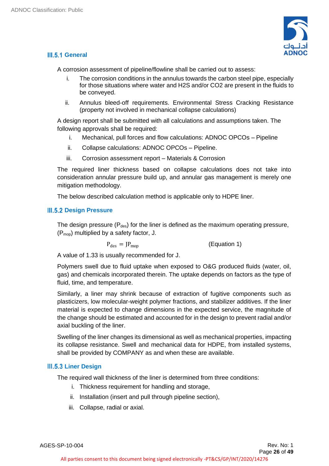

# <span id="page-25-0"></span>**III.5.1 General**

A corrosion assessment of pipeline/flowline shall be carried out to assess:

- i. The corrosion conditions in the annulus towards the carbon steel pipe, especially for those situations where water and H2S and/or CO2 are present in the fluids to be conveyed.
- ii. Annulus bleed-off requirements. Environmental Stress Cracking Resistance (property not involved in mechanical collapse calculations)

A design report shall be submitted with all calculations and assumptions taken. The following approvals shall be required:

- i. Mechanical, pull forces and flow calculations: ADNOC OPCOs Pipeline
- ii. Collapse calculations: ADNOC OPCOs Pipeline.
- iii. Corrosion assessment report Materials & Corrosion

The required liner thickness based on collapse calculations does not take into consideration annular pressure build up, and annular gas management is merely one mitigation methodology.

<span id="page-25-1"></span>The below described calculation method is applicable only to HDPE liner.

# **III.5.2 Design Pressure**

The design pressure ( $P_{des}$ ) for the liner is defined as the maximum operating pressure, (Pmop) multiplied by a safety factor, J.

 $P_{des} = JP_{map}$  (Equation 1)

A value of 1.33 is usually recommended for J.

Polymers swell due to fluid uptake when exposed to O&G produced fluids (water, oil, gas) and chemicals incorporated therein. The uptake depends on factors as the type of fluid, time, and temperature.

Similarly, a liner may shrink because of extraction of fugitive components such as plasticizers, low molecular-weight polymer fractions, and stabilizer additives. If the liner material is expected to change dimensions in the expected service, the magnitude of the change should be estimated and accounted for in the design to prevent radial and/or axial buckling of the liner.

Swelling of the liner changes its dimensional as well as mechanical properties, impacting its collapse resistance. Swell and mechanical data for HDPE, from installed systems, shall be provided by COMPANY as and when these are available.

# **Liner Design**

<span id="page-25-2"></span>The required wall thickness of the liner is determined from three conditions:

- i. Thickness requirement for handling and storage,
- ii. Installation (insert and pull through pipeline section),
- iii. Collapse, radial or axial.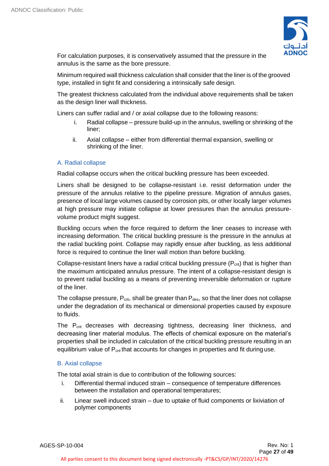

For calculation purposes, it is conservatively assumed that the pressure in the annulus is the same as the bore pressure.

Minimum required wall thickness calculation shall consider that the liner is of the grooved type, installed in tight fit and considering a intrinsically safe design.

The greatest thickness calculated from the individual above requirements shall be taken as the design liner wall thickness.

Liners can suffer radial and / or axial collapse due to the following reasons:

- i. Radial collapse pressure build-up in the annulus, swelling or shrinking of the liner;
- ii. Axial collapse either from differential thermal expansion, swelling or shrinking of the liner.

# A. Radial collapse

Radial collapse occurs when the critical buckling pressure has been exceeded.

Liners shall be designed to be collapse-resistant i.e. resist deformation under the pressure of the annulus relative to the pipeline pressure. Migration of annulus gases, presence of local large volumes caused by corrosion pits, or other locally larger volumes at high pressure may initiate collapse at lower pressures than the annulus pressurevolume product might suggest.

Buckling occurs when the force required to deform the liner ceases to increase with increasing deformation. The critical buckling pressure is the pressure in the annulus at the radial buckling point. Collapse may rapidly ensue after buckling, as less additional force is required to continue the liner wall motion than before buckling.

Collapse-resistant liners have a radial critical buckling pressure ( $P_{crit}$ ) that is higher than the maximum anticipated annulus pressure. The intent of a collapse-resistant design is to prevent radial buckling as a means of preventing irreversible deformation or rupture of the liner.

The collapse pressure,  $P_{crit}$ , shall be greater than  $P_{des}$ , so that the liner does not collapse under the degradation of its mechanical or dimensional properties caused by exposure to fluids.

The P<sub>crit</sub> decreases with decreasing tightness, decreasing liner thickness, and decreasing liner material modulus. The effects of chemical exposure on the material's properties shall be included in calculation of the critical buckling pressure resulting in an equilibrium value of P<sub>crit</sub> that accounts for changes in properties and fit during use.

# B. Axial collapse

The total axial strain is due to contribution of the following sources:

- i. Differential thermal induced strain consequence of temperature differences between the installation and operational temperatures;
- ii. Linear swell induced strain due to uptake of fluid components or lixiviation of polymer components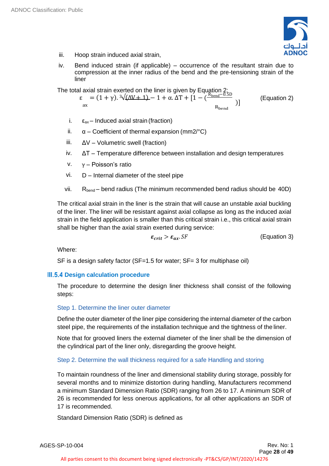

- iii. Hoop strain induced axial strain,
- iv. Bend induced strain (if applicable) occurrence of the resultant strain due to compression at the inner radius of the bend and the pre-tensioning strain of the liner

The total axial strain exerted on the liner is given by Equation  $2_{\text{in}}$ 

$$
\varepsilon = (1 + \gamma). \sqrt[3]{(\Delta V + 1)} - 1 + \alpha. \Delta T + [1 - \frac{R_{\text{bend}} - 0.5D}{R_{\text{bend}}})
$$
 (Equation 2)

- i.  $\epsilon_{ax}$  Induced axial strain (fraction)
- ii.  $\alpha$  Coefficient of thermal expansion (mm2/°C)
- iii.  $\Delta V -$  Volumetric swell (fraction)
- iv. ΔT Temperature difference between installation and design temperatures
- v. γ Poisson's ratio
- vi. D Internal diameter of the steel pipe
- vii.  $R_{bend}$  bend radius (The minimum recommended bend radius should be 40D)

The critical axial strain in the liner is the strain that will cause an unstable axial buckling of the liner. The liner will be resistant against axial collapse as long as the induced axial strain in the field application is smaller than this critical strain i.e., this critical axial strain shall be higher than the axial strain exerted during service:

$$
\varepsilon_{crit} > \varepsilon_{ax}.SF \qquad (Equation 3)
$$

Where:

<span id="page-27-0"></span>SF is a design safety factor (SF=1.5 for water; SF= 3 for multiphase oil)

# **III.5.4 Design calculation procedure**

The procedure to determine the design liner thickness shall consist of the following steps:

# Step 1. Determine the liner outer diameter

Define the outer diameter of the liner pipe considering the internal diameter of the carbon steel pipe, the requirements of the installation technique and the tightness of the liner.

Note that for grooved liners the external diameter of the liner shall be the dimension of the cylindrical part of the liner only, disregarding the groove height.

# Step 2. Determine the wall thickness required for a safe Handling and storing

To maintain roundness of the liner and dimensional stability during storage, possibly for several months and to minimize distortion during handling, Manufacturers recommend a minimum Standard Dimension Ratio (SDR) ranging from 26 to 17. A minimum SDR of 26 is recommended for less onerous applications, for all other applications an SDR of 17 is recommended.

Standard Dimension Ratio (SDR) is defined as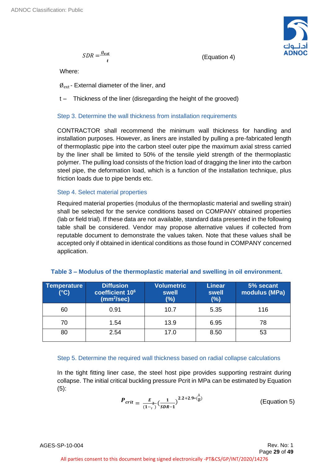$$
SDR = \frac{\emptyset_{ext}}{t}
$$

(Equation 4)

**ADNOC** 

Where:

 $\varnothing_{\rm ext}$  - External diameter of the liner, and

t – Thickness of the liner (disregarding the height of the grooved)

# Step 3. Determine the wall thickness from installation requirements

CONTRACTOR shall recommend the minimum wall thickness for handling and installation purposes. However, as liners are installed by pulling a pre-fabricated length of thermoplastic pipe into the carbon steel outer pipe the maximum axial stress carried by the liner shall be limited to 50% of the tensile yield strength of the thermoplastic polymer. The pulling load consists of the friction load of dragging the liner into the carbon steel pipe, the deformation load, which is a function of the installation technique, plus friction loads due to pipe bends etc.

# Step 4. Select material properties

Required material properties (modulus of the thermoplastic material and swelling strain) shall be selected for the service conditions based on COMPANY obtained properties (lab or field trial). If these data are not available, standard data presented in the following table shall be considered. Vendor may propose alternative values if collected from reputable document to demonstrate the values taken. Note that these values shall be accepted only if obtained in identical conditions as those found in COMPANY concerned application.

| Table 3 – Modulus of the thermoplastic material and swelling in oil environment. |  |  |  |
|----------------------------------------------------------------------------------|--|--|--|
|                                                                                  |  |  |  |

| Temperature<br>$(^{\circ}C)$ | <b>Diffusion</b><br>coefficient 10 <sup>6</sup><br>(mm <sup>2</sup> /sec) | <b>Volumetric</b><br>swell<br>(%) | <b>Linear</b><br>swell<br>$(\%)$ | 5% secant<br>modulus (MPa) |
|------------------------------|---------------------------------------------------------------------------|-----------------------------------|----------------------------------|----------------------------|
| 60                           | 0.91                                                                      | 10.7                              | 5.35                             | 116                        |
| 70                           | 1.54                                                                      | 13.9                              | 6.95                             | 78                         |
| 80                           | 2.54                                                                      | 17.0                              | 8.50                             | 53                         |

# Step 5. Determine the required wall thickness based on radial collapse calculations

In the tight fitting liner case, the steel host pipe provides supporting restraint during collapse. The initial critical buckling pressure Pcrit in MPa can be estimated by Equation (5):

$$
P_{crit} = \frac{E}{(1-\gamma)} \left(\frac{1}{SDR - 1}\right)^{2.2 + 2.9 \times \left(\frac{\Lambda}{D}\right)}
$$
 (Equation 5)

AGES-SP-10-004 Rev. No: 1

Page **29** of **49**

All parties consent to this document being signed electronically -PT&CS/GP/INT/2020/14276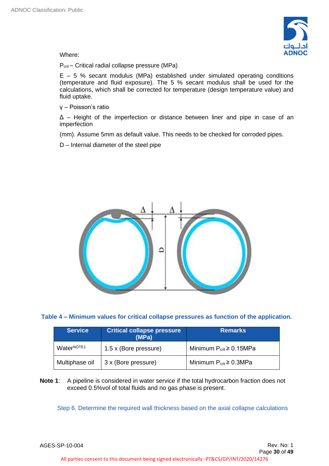

Where:

P<sub>crit</sub> – Critical radial collapse pressure (MPa)

 $E - 5$  % secant modulus (MPa) established under simulated operating conditions (temperature and fluid exposure). The 5 % secant modulus shall be used for the calculations, which shall be corrected for temperature (design temperature value) and fluid uptake.

γ – Poisson's ratio

Δ – Height of the imperfection or distance between liner and pipe in case of an imperfection

(mm). Assume 5mm as default value. This needs to be checked for corroded pipes.

D – Internal diameter of the steel pipe



# **Table 4 – Minimum values for critical collapse pressures as function of the application.**

| <b>Service</b>         | <b>Critical collapse pressure</b><br>(MPa) | <b>Remarks</b>                  |
|------------------------|--------------------------------------------|---------------------------------|
| WaterNOTE <sub>1</sub> | 1.5 x (Bore pressure)                      | Minimum $P_{crit} \ge 0.15 MPa$ |
| Multiphase oil         | 3 x (Bore pressure)                        | Minimum $P_{crit} \ge 0.3 MPa$  |

**Note 1**: A pipeline is considered in water service if the total hydrocarbon fraction does not exceed 0.5%vol of total fluids and no gas phase is present.

Step 6. Determine the required wall thickness based on the axial collapse calculations

AGES-SP-10-004 Rev. No: 1

All parties consent to this document being signed electronically -PT&CS/GP/INT/2020/14276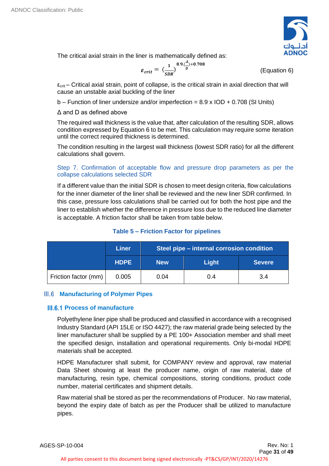

The critical axial strain in the liner is mathematically defined as:

$$
\varepsilon_{crit} = \left(\frac{1}{SDR}\right)^{8.9 \cdot (\frac{A}{D}) + 0.708}
$$

(Equation 6)

 $\varepsilon_{\text{crit}}$  – Critical axial strain, point of collapse, is the critical strain in axial direction that will cause an unstable axial buckling of the liner

 $b$  – Function of liner undersize and/or imperfection = 8.9 x IOD + 0.708 (SI Units)

Δ and D as defined above

The required wall thickness is the value that, after calculation of the resulting SDR, allows condition expressed by Equation 6 to be met. This calculation may require some iteration until the correct required thickness is determined.

The condition resulting in the largest wall thickness (lowest SDR ratio) for all the different calculations shall govern.

# Step 7. Confirmation of acceptable flow and pressure drop parameters as per the collapse calculations selected SDR

If a different value than the initial SDR is chosen to meet design criteria, flow calculations for the inner diameter of the liner shall be reviewed and the new liner SDR confirmed. In this case, pressure loss calculations shall be carried out for both the host pipe and the liner to establish whether the difference in pressure loss due to the reduced line diameter is acceptable. A friction factor shall be taken from table below.

| Liner       |            | Steel pipe - internal corrosion condition |               |
|-------------|------------|-------------------------------------------|---------------|
| <b>HDPE</b> | <b>New</b> | <b>Light</b>                              | <b>Severe</b> |

Friction factor (mm)  $\begin{array}{|c|c|c|c|c|c|c|c|c|} \hline \end{array}$  0.04 0.4  $\begin{array}{|c|c|c|c|c|c|c|c|} \hline \end{array}$  3.4

# **Table 5 – Friction Factor for pipelines**

# <span id="page-30-0"></span>**Manufacturing of Polymer Pipes**

# **III.6.1 Process of manufacture**

<span id="page-30-1"></span>Polyethylene liner pipe shall be produced and classified in accordance with a recognised Industry Standard (API 15LE or ISO 4427); the raw material grade being selected by the liner manufacturer shall be supplied by a PE 100+ Association member and shall meet the specified design, installation and operational requirements. Only bi-modal HDPE materials shall be accepted.

HDPE Manufacturer shall submit, for COMPANY review and approval, raw material Data Sheet showing at least the producer name, origin of raw material, date of manufacturing, resin type, chemical compositions, storing conditions, product code number, material certificates and shipment details.

Raw material shall be stored as per the recommendations of Producer. No raw material, beyond the expiry date of batch as per the Producer shall be utilized to manufacture pipes.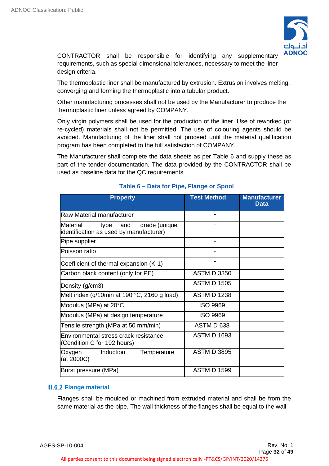

CONTRACTOR shall be responsible for identifying any supplementary requirements, such as special dimensional tolerances, necessary to meet the liner design criteria.

The thermoplastic liner shall be manufactured by extrusion. Extrusion involves melting, converging and forming the thermoplastic into a tubular product.

Other manufacturing processes shall not be used by the Manufacturer to produce the thermoplastic liner unless agreed by COMPANY.

Only virgin polymers shall be used for the production of the liner. Use of reworked (or re-cycled) materials shall not be permitted. The use of colouring agents should be avoided. Manufacturing of the liner shall not proceed until the material qualification program has been completed to the full satisfaction of COMPANY.

The Manufacturer shall complete the data sheets as per Table 6 and supply these as part of the tender documentation. The data provided by the CONTRACTOR shall be used as baseline data for the QC requirements.

| <b>Property</b>                                                                  | <b>Test Method</b> | <b>Manufacturer</b><br><b>Data</b> |
|----------------------------------------------------------------------------------|--------------------|------------------------------------|
| <b>Raw Material manufacturer</b>                                                 |                    |                                    |
| Material<br>grade (unique<br>type and<br>identification as used by manufacturer) |                    |                                    |
| Pipe supplier                                                                    |                    |                                    |
| Poisson ratio                                                                    |                    |                                    |
| Coefficient of thermal expansion (K-1)                                           |                    |                                    |
| Carbon black content (only for PE)                                               | <b>ASTM D 3350</b> |                                    |
| Density (g/cm3)                                                                  | <b>ASTM D 1505</b> |                                    |
| Melt index (g/10min at 190 °C, 2160 g load)                                      | <b>ASTM D 1238</b> |                                    |
| Modulus (MPa) at 20°C                                                            | <b>ISO 9969</b>    |                                    |
| Modulus (MPa) at design temperature                                              | <b>ISO 9969</b>    |                                    |
| Tensile strength (MPa at 50 mm/min)                                              | ASTM D 638         |                                    |
| Environmental stress crack resistance<br>(Condition C for 192 hours)             | <b>ASTM D 1693</b> |                                    |
| Induction<br>Temperature<br>Oxygen<br>(at 2000C)                                 | <b>ASTM D 3895</b> |                                    |
| Burst pressure (MPa)                                                             | <b>ASTM D 1599</b> |                                    |

# **Table 6 – Data for Pipe, Flange or Spool**

# **III.6.2 Flange material**

<span id="page-31-0"></span>Flanges shall be moulded or machined from extruded material and shall be from the same material as the pipe. The wall thickness of the flanges shall be equal to the wall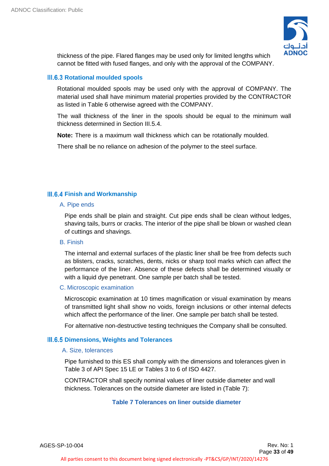

thickness of the pipe. Flared flanges may be used only for limited lengths which cannot be fitted with fused flanges, and only with the approval of the COMPANY.

# **HI.6.3 Rotational moulded spools**

<span id="page-32-0"></span>Rotational moulded spools may be used only with the approval of COMPANY. The material used shall have minimum material properties provided by the CONTRACTOR as listed in Table 6 otherwise agreed with the COMPANY.

The wall thickness of the liner in the spools should be equal to the minimum wall thickness determined in Section III.5.4.

**Note:** There is a maximum wall thickness which can be rotationally moulded.

There shall be no reliance on adhesion of the polymer to the steel surface.

# **Finish and Workmanship**

# <span id="page-32-1"></span>A. Pipe ends

Pipe ends shall be plain and straight. Cut pipe ends shall be clean without ledges, shaving tails, burrs or cracks. The interior of the pipe shall be blown or washed clean of cuttings and shavings.

# B. Finish

The internal and external surfaces of the plastic liner shall be free from defects such as blisters, cracks, scratches, dents, nicks or sharp tool marks which can affect the performance of the liner. Absence of these defects shall be determined visually or with a liquid dye penetrant. One sample per batch shall be tested.

# C. Microscopic examination

Microscopic examination at 10 times magnification or visual examination by means of transmitted light shall show no voids, foreign inclusions or other internal defects which affect the performance of the liner. One sample per batch shall be tested.

<span id="page-32-2"></span>For alternative non-destructive testing techniques the Company shall be consulted.

# **III.6.5 Dimensions, Weights and Tolerances**

# A. Size, tolerances

Pipe furnished to this ES shall comply with the dimensions and tolerances given in Table 3 of API Spec 15 LE or Tables 3 to 6 of ISO 4427.

CONTRACTOR shall specify nominal values of liner outside diameter and wall thickness. Tolerances on the outside diameter are listed in (Table 7):

# **Table 7 Tolerances on liner outside diameter**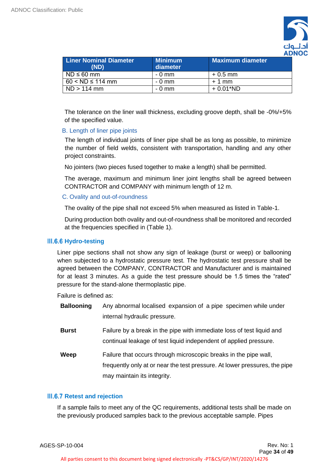

| <b>Liner Nominal Diameter</b><br>(ND) | <b>Minimum</b><br>diameter | <b>Maximum diameter</b> |
|---------------------------------------|----------------------------|-------------------------|
| $ND \leq 60$ mm                       | $-0$ mm                    | $+0.5$ mm               |
| $60 < ND \le 114$ mm                  | $-0$ mm                    | $+1$ mm                 |
| $ND > 114$ mm                         | - 0 mm                     | $+0.01*ND$              |

The tolerance on the liner wall thickness, excluding groove depth, shall be -0%/+5% of the specified value.

# B. Length of liner pipe joints

The length of individual joints of liner pipe shall be as long as possible, to minimize the number of field welds, consistent with transportation, handling and any other project constraints.

No jointers (two pieces fused together to make a length) shall be permitted.

The average, maximum and minimum liner joint lengths shall be agreed between CONTRACTOR and COMPANY with minimum length of 12 m.

# C. Ovality and out-of-roundness

The ovality of the pipe shall not exceed 5% when measured as listed in Table-1.

During production both ovality and out-of-roundness shall be monitored and recorded at the frequencies specified in (Table 1).

# **Hydro-testing**

<span id="page-33-0"></span>Liner pipe sections shall not show any sign of leakage (burst or weep) or ballooning when subjected to a hydrostatic pressure test. The hydrostatic test pressure shall be agreed between the COMPANY, CONTRACTOR and Manufacturer and is maintained for at least 3 minutes. As a guide the test pressure should be 1.5 times the "rated" pressure for the stand-alone thermoplastic pipe.

Failure is defined as:

| <b>Ballooning</b> | Any abnormal localised expansion of a pipe specimen while under<br>internal hydraulic pressure.                                                                               |
|-------------------|-------------------------------------------------------------------------------------------------------------------------------------------------------------------------------|
| <b>Burst</b>      | Failure by a break in the pipe with immediate loss of test liquid and<br>continual leakage of test liquid independent of applied pressure.                                    |
| Weep              | Failure that occurs through microscopic breaks in the pipe wall,<br>frequently only at or near the test pressure. At lower pressures, the pipe<br>may maintain its integrity. |

# <span id="page-33-1"></span>**III.6.7 Retest and rejection**

If a sample fails to meet any of the QC requirements, additional tests shall be made on the previously produced samples back to the previous acceptable sample. Pipes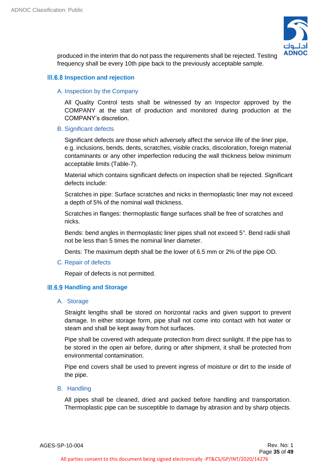

produced in the interim that do not pass the requirements shall be rejected. Testing frequency shall be every 10th pipe back to the previously acceptable sample.

# <span id="page-34-0"></span>**III.6.8 Inspection and rejection**

# A. Inspection by the Company

All Quality Control tests shall be witnessed by an Inspector approved by the COMPANY at the start of production and monitored during production at the COMPANY's discretion.

# B. Significant defects

Significant defects are those which adversely affect the service life of the liner pipe, e.g. inclusions, bends, dents, scratches, visible cracks, discoloration, foreign material contaminants or any other imperfection reducing the wall thickness below minimum acceptable limits (Table-7).

Material which contains significant defects on inspection shall be rejected. Significant defects include:

Scratches in pipe: Surface scratches and nicks in thermoplastic liner may not exceed a depth of 5% of the nominal wall thickness.

Scratches in flanges: thermoplastic flange surfaces shall be free of scratches and nicks.

Bends: bend angles in thermoplastic liner pipes shall not exceed 5°. Bend radii shall not be less than 5 times the nominal liner diameter.

Dents: The maximum depth shall be the lower of 6.5 mm or 2% of the pipe OD.

# C. Repair of defects

<span id="page-34-1"></span>Repair of defects is not permitted.

# **Handling and Storage**

# A. Storage

Straight lengths shall be stored on horizontal racks and given support to prevent damage. In either storage form, pipe shall not come into contact with hot water or steam and shall be kept away from hot surfaces.

Pipe shall be covered with adequate protection from direct sunlight. If the pipe has to be stored in the open air before, during or after shipment, it shall be protected from environmental contamination.

Pipe end covers shall be used to prevent ingress of moisture or dirt to the inside of the pipe.

# B. Handling

All pipes shall be cleaned, dried and packed before handling and transportation. Thermoplastic pipe can be susceptible to damage by abrasion and by sharp objects.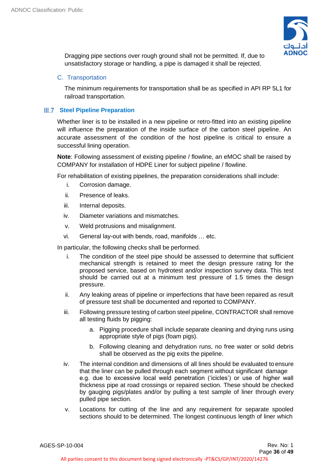

Dragging pipe sections over rough ground shall not be permitted. If, due to unsatisfactory storage or handling, a pipe is damaged it shall be rejected.

# C. Transportation

The minimum requirements for transportation shall be as specified in API RP 5L1 for railroad transportation.

# **III.7 Steel Pipeline Preparation**

<span id="page-35-0"></span>Whether liner is to be installed in a new pipeline or retro-fitted into an existing pipeline will influence the preparation of the inside surface of the carbon steel pipeline. An accurate assessment of the condition of the host pipeline is critical to ensure a successful lining operation.

**Note**: Following assessment of existing pipeline / flowline, an eMOC shall be raised by COMPANY for installation of HDPE Liner for subject pipeline / flowline.

For rehabilitation of existing pipelines, the preparation considerations shall include:

- i. Corrosion damage.
- ii. Presence of leaks.
- iii. Internal deposits.
- iv. Diameter variations and mismatches.
- v. Weld protrusions and misalignment.
- vi. General lay-out with bends, road, manifolds … etc.

In particular, the following checks shall be performed.

- i. The condition of the steel pipe should be assessed to determine that sufficient mechanical strength is retained to meet the design pressure rating for the proposed service, based on hydrotest and/or inspection survey data. This test should be carried out at a minimum test pressure of 1.5 times the design pressure.
- ii. Any leaking areas of pipeline or imperfections that have been repaired as result of pressure test shall be documented and reported to COMPANY.
- iii. Following pressure testing of carbon steel pipeline, CONTRACTOR shall remove all testing fluids by pigging:
	- a. Pigging procedure shall include separate cleaning and drying runs using appropriate style of pigs (foam pigs).
	- b. Following cleaning and dehydration runs, no free water or solid debris shall be observed as the pig exits the pipeline.
- iv. The internal condition and dimensions of all lines should be evaluated to ensure that the liner can be pulled through each segment without significant damage e.g. due to excessive local weld penetration ('icicles') or use of higher wall thickness pipe at road crossings or repaired section. These should be checked by gauging pigs/plates and/or by pulling a test sample of liner through every pulled pipe section.
- v. Locations for cutting of the line and any requirement for separate spooled sections should to be determined. The longest continuous length of liner which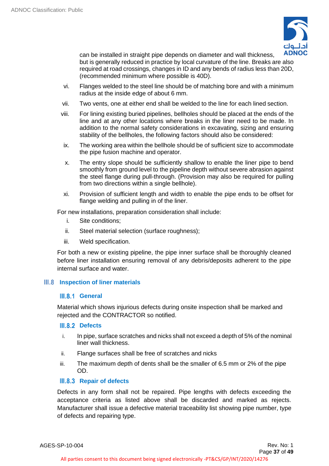

can be installed in straight pipe depends on diameter and wall thickness, but is generally reduced in practice by local curvature of the line. Breaks are also required at road crossings, changes in ID and any bends of radius less than 20D, (recommended minimum where possible is 40D).

- vi. Flanges welded to the steel line should be of matching bore and with a minimum radius at the inside edge of about 6 mm.
- vii. Two vents, one at either end shall be welded to the line for each lined section.
- viii. For lining existing buried pipelines, bellholes should be placed at the ends of the line and at any other locations where breaks in the liner need to be made. In addition to the normal safety considerations in excavating, sizing and ensuring stability of the bellholes, the following factors should also be considered:
- ix. The working area within the bellhole should be of sufficient size to accommodate the pipe fusion machine and operator.
- x. The entry slope should be sufficiently shallow to enable the liner pipe to bend smoothly from ground level to the pipeline depth without severe abrasion against the steel flange during pull-through. (Provision may also be required for pulling from two directions within a single bellhole).
- xi. Provision of sufficient length and width to enable the pipe ends to be offset for flange welding and pulling in of the liner.

For new installations, preparation consideration shall include:

- i. Site conditions;
- ii. Steel material selection (surface roughness);
- iii. Weld specification.

For both a new or existing pipeline, the pipe inner surface shall be thoroughly cleaned before liner installation ensuring removal of any debris/deposits adherent to the pipe internal surface and water.

# <span id="page-36-0"></span>**III.8** Inspection of liner materials

# <span id="page-36-1"></span>**III.8.1 General**

Material which shows injurious defects during onsite inspection shall be marked and rejected and the CONTRACTOR so notified.

# <span id="page-36-2"></span>**III.8.2 Defects**

- i. In pipe, surface scratches and nicks shall not exceed a depth of 5% of the nominal liner wall thickness.
- ii. Flange surfaces shall be free of scratches and nicks
- iii. The maximum depth of dents shall be the smaller of 6.5 mm or 2% of the pipe OD.

# <span id="page-36-3"></span>**III.8.3 Repair of defects**

Defects in any form shall not be repaired. Pipe lengths with defects exceeding the acceptance criteria as listed above shall be discarded and marked as rejects. Manufacturer shall issue a defective material traceability list showing pipe number, type of defects and repairing type.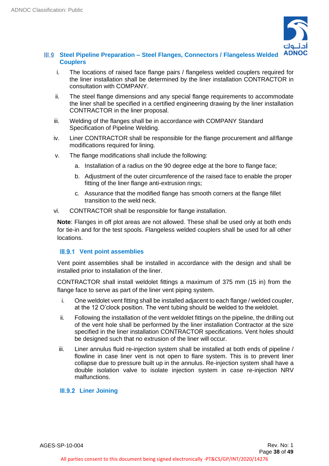

# <span id="page-37-0"></span>**Steel Pipeline Preparation – Steel Flanges, Connectors / Flangeless Welded Couplers**

- i. The locations of raised face flange pairs / flangeless welded couplers required for the liner installation shall be determined by the liner installation CONTRACTOR in consultation with COMPANY.
- ii. The steel flange dimensions and any special flange requirements to accommodate the liner shall be specified in a certified engineering drawing by the liner installation CONTRACTOR in the liner proposal.
- iii. Welding of the flanges shall be in accordance with COMPANY Standard Specification of Pipeline Welding.
- iv. Liner CONTRACTOR shall be responsible for the flange procurement and allflange modifications required for lining.
- v. The flange modifications shall include the following:
	- a. Installation of a radius on the 90 degree edge at the bore to flange face;
	- b. Adjustment of the outer circumference of the raised face to enable the proper fitting of the liner flange anti-extrusion rings;
	- c. Assurance that the modified flange has smooth corners at the flange fillet transition to the weld neck.
- vi. CONTRACTOR shall be responsible for flange installation.

**Note**: Flanges in off plot areas are not allowed. These shall be used only at both ends for tie-in and for the test spools. Flangeless welded couplers shall be used for all other locations.

# <span id="page-37-1"></span>**Vent point assemblies**

Vent point assemblies shall be installed in accordance with the design and shall be installed prior to installation of the liner.

CONTRACTOR shall install weldolet fittings a maximum of 375 mm (15 in) from the flange face to serve as part of the liner vent piping system.

- i. One weldolet vent fitting shall be installed adjacent to each flange / welded coupler, at the 12 O'clock position. The vent tubing should be welded to the weldolet.
- ii. Following the installation of the vent weldolet fittings on the pipeline, the drilling out of the vent hole shall be performed by the liner installation Contractor at the size specified in the liner installation CONTRACTOR specifications. Vent holes should be designed such that no extrusion of the liner will occur.
- iii. Liner annulus fluid re-injection system shall be installed at both ends of pipeline / flowline in case liner vent is not open to flare system. This is to prevent liner collapse due to pressure built up in the annulus. Re-injection system shall have a double isolation valve to isolate injection system in case re-injection NRV malfunctions.

# <span id="page-37-2"></span>**Liner Joining**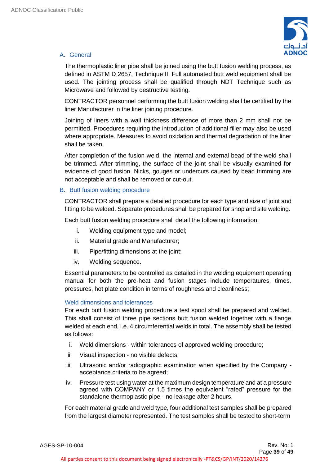

# A. General

The thermoplastic liner pipe shall be joined using the butt fusion welding process, as defined in ASTM D 2657, Technique II. Full automated butt weld equipment shall be used. The jointing process shall be qualified through NDT Technique such as Microwave and followed by destructive testing.

CONTRACTOR personnel performing the butt fusion welding shall be certified by the liner Manufacturer in the liner joining procedure.

Joining of liners with a wall thickness difference of more than 2 mm shall not be permitted. Procedures requiring the introduction of additional filler may also be used where appropriate. Measures to avoid oxidation and thermal degradation of the liner shall be taken.

After completion of the fusion weld, the internal and external bead of the weld shall be trimmed. After trimming, the surface of the joint shall be visually examined for evidence of good fusion. Nicks, gouges or undercuts caused by bead trimming are not acceptable and shall be removed or cut-out.

# B. Butt fusion welding procedure

CONTRACTOR shall prepare a detailed procedure for each type and size of joint and fitting to be welded. Separate procedures shall be prepared for shop and site welding.

Each butt fusion welding procedure shall detail the following information:

- i. Welding equipment type and model;
- ii. Material grade and Manufacturer;
- iii. Pipe/fitting dimensions at the joint;
- iv. Welding sequence.

Essential parameters to be controlled as detailed in the welding equipment operating manual for both the pre-heat and fusion stages include temperatures, times, pressures, hot plate condition in terms of roughness and cleanliness;

# Weld dimensions and tolerances

For each butt fusion welding procedure a test spool shall be prepared and welded. This shall consist of three pipe sections butt fusion welded together with a flange welded at each end, i.e. 4 circumferential welds in total. The assembly shall be tested as follows:

- i. Weld dimensions within tolerances of approved welding procedure;
- ii. Visual inspection no visible defects;
- iii. Ultrasonic and/or radiographic examination when specified by the Company acceptance criteria to be agreed;
- iv. Pressure test using water at the maximum design temperature and at a pressure agreed with COMPANY or 1.5 times the equivalent "rated" pressure for the standalone thermoplastic pipe - no leakage after 2 hours.

For each material grade and weld type, four additional test samples shall be prepared from the largest diameter represented. The test samples shall be tested to short-term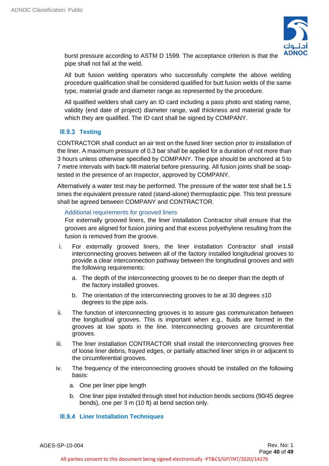

burst pressure according to ASTM D 1599. The acceptance criterion is that the pipe shall not fail at the weld.

All butt fusion welding operators who successfully complete the above welding procedure qualification shall be considered qualified for butt fusion welds of the same type, material grade and diameter range as represented by the procedure.

All qualified welders shall carry an ID card including a pass photo and stating name, validity (end date of project) diameter range, wall thickness and material grade for which they are qualified. The ID card shall be signed by COMPANY.

# <span id="page-39-0"></span>**III.9.3 Testing**

CONTRACTOR shall conduct an air test on the fused liner section prior to installation of the liner. A maximum pressure of 0.3 bar shall be applied for a duration of not more than 3 hours unless otherwise specified by COMPANY. The pipe should be anchored at 5 to 7 metre intervals with back-fill material before pressuring. All fusion joints shall be soaptested in the presence of an Inspector, approved by COMPANY.

Alternatively a water test may be performed. The pressure of the water test shall be 1.5 times the equivalent pressure rated (stand-alone) thermoplastic pipe. This test pressure shall be agreed between COMPANY and CONTRACTOR.

# Additional requirements for grooved liners

For externally grooved liners, the liner installation Contractor shall ensure that the grooves are aligned for fusion joining and that excess polyethylene resulting from the fusion is removed from the groove.

- i. For externally grooved liners, the liner installation Contractor shall install interconnecting grooves between all of the factory installed longitudinal grooves to provide a clear interconnection pathway between the longitudinal grooves and with the following requirements:
	- a. The depth of the interconnecting grooves to be no deeper than the depth of the factory installed grooves.
	- b. The orientation of the interconnecting grooves to be at 30 degrees ±10 degrees to the pipe axis.
- ii. The function of interconnecting grooves is to assure gas communication between the longitudinal grooves. This is important when e.g., fluids are formed in the grooves at low spots in the line. Interconnecting grooves are circumferential grooves.
- iii. The liner installation CONTRACTOR shall install the interconnecting grooves free of loose liner debris, frayed edges, or partially attached liner strips in or adjacent to the circumferential grooves.
- iv. The frequency of the interconnecting grooves should be installed on the following basis:
	- a. One per liner pipe length
	- b. One liner pipe installed through steel hot induction bends sections (90/45 degree bends), one per 3 m (10 ft) at bend section only.

# <span id="page-39-1"></span>**Liner Installation Techniques**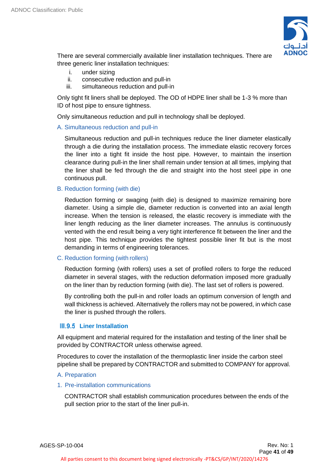

There are several commercially available liner installation techniques. There are three generic liner installation techniques:

- i. under sizing
- ii. consecutive reduction and pull-in
- iii. simultaneous reduction and pull-in

Only tight fit liners shall be deployed. The OD of HDPE liner shall be 1-3 % more than ID of host pipe to ensure tightness.

Only simultaneous reduction and pull in technology shall be deployed.

# A. Simultaneous reduction and pull-in

Simultaneous reduction and pull-in techniques reduce the liner diameter elastically through a die during the installation process. The immediate elastic recovery forces the liner into a tight fit inside the host pipe. However, to maintain the insertion clearance during pull-in the liner shall remain under tension at all times, implying that the liner shall be fed through the die and straight into the host steel pipe in one continuous pull.

# B. Reduction forming (with die)

Reduction forming or swaging (with die) is designed to maximize remaining bore diameter. Using a simple die, diameter reduction is converted into an axial length increase. When the tension is released, the elastic recovery is immediate with the liner length reducing as the liner diameter increases. The annulus is continuously vented with the end result being a very tight interference fit between the liner and the host pipe. This technique provides the tightest possible liner fit but is the most demanding in terms of engineering tolerances.

# C. Reduction forming (with rollers)

Reduction forming (with rollers) uses a set of profiled rollers to forge the reduced diameter in several stages, with the reduction deformation imposed more gradually on the liner than by reduction forming (with die). The last set of rollers is powered.

By controlling both the pull-in and roller loads an optimum conversion of length and wall thickness is achieved. Alternatively the rollers may not be powered, in which case the liner is pushed through the rollers.

# <span id="page-40-0"></span>**Liner Installation**

All equipment and material required for the installation and testing of the liner shall be provided by CONTRACTOR unless otherwise agreed.

Procedures to cover the installation of the thermoplastic liner inside the carbon steel pipeline shall be prepared by CONTRACTOR and submitted to COMPANY for approval.

# A. Preparation

# 1. Pre-installation communications

CONTRACTOR shall establish communication procedures between the ends of the pull section prior to the start of the liner pull-in.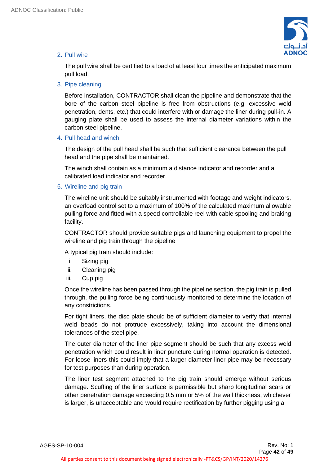

# 2. Pull wire

The pull wire shall be certified to a load of at least four times the anticipated maximum pull load.

3. Pipe cleaning

Before installation, CONTRACTOR shall clean the pipeline and demonstrate that the bore of the carbon steel pipeline is free from obstructions (e.g. excessive weld penetration, dents, etc.) that could interfere with or damage the liner during pull-in. A gauging plate shall be used to assess the internal diameter variations within the carbon steel pipeline.

# 4. Pull head and winch

The design of the pull head shall be such that sufficient clearance between the pull head and the pipe shall be maintained.

The winch shall contain as a minimum a distance indicator and recorder and a calibrated load indicator and recorder.

# 5. Wireline and pig train

The wireline unit should be suitably instrumented with footage and weight indicators, an overload control set to a maximum of 100% of the calculated maximum allowable pulling force and fitted with a speed controllable reel with cable spooling and braking facility.

CONTRACTOR should provide suitable pigs and launching equipment to propel the wireline and pig train through the pipeline

A typical pig train should include:

- i. Sizing pig
- ii. Cleaning pig
- iii. Cup pig

Once the wireline has been passed through the pipeline section, the pig train is pulled through, the pulling force being continuously monitored to determine the location of any constrictions.

For tight liners, the disc plate should be of sufficient diameter to verify that internal weld beads do not protrude excessively, taking into account the dimensional tolerances of the steel pipe.

The outer diameter of the liner pipe segment should be such that any excess weld penetration which could result in liner puncture during normal operation is detected. For loose liners this could imply that a larger diameter liner pipe may be necessary for test purposes than during operation.

The liner test segment attached to the pig train should emerge without serious damage. Scuffing of the liner surface is permissible but sharp longitudinal scars or other penetration damage exceeding 0.5 mm or 5% of the wall thickness, whichever is larger, is unacceptable and would require rectification by further pigging using a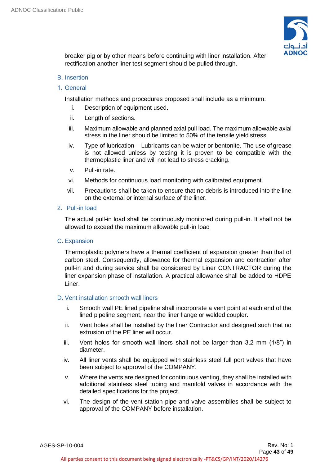

breaker pig or by other means before continuing with liner installation. After rectification another liner test segment should be pulled through.

# B. Insertion

1. General

Installation methods and procedures proposed shall include as a minimum:

- i. Description of equipment used.
- ii. Length of sections.
- iii. Maximum allowable and planned axial pull load. The maximum allowable axial stress in the liner should be limited to 50% of the tensile yield stress.
- iv. Type of lubrication Lubricants can be water or bentonite. The use of grease is not allowed unless by testing it is proven to be compatible with the thermoplastic liner and will not lead to stress cracking.
- v. Pull-in rate.
- vi. Methods for continuous load monitoring with calibrated equipment.
- vii. Precautions shall be taken to ensure that no debris is introduced into the line on the external or internal surface of the liner.
- 2. Pull-in load

The actual pull-in load shall be continuously monitored during pull-in. It shall not be allowed to exceed the maximum allowable pull-in load

C. Expansion

Thermoplastic polymers have a thermal coefficient of expansion greater than that of carbon steel. Consequently, allowance for thermal expansion and contraction after pull-in and during service shall be considered by Liner CONTRACTOR during the liner expansion phase of installation. A practical allowance shall be added to HDPE Liner.

# D. Vent installation smooth wall liners

- i. Smooth wall PE lined pipeline shall incorporate a vent point at each end of the lined pipeline segment, near the liner flange or welded coupler.
- ii. Vent holes shall be installed by the liner Contractor and designed such that no extrusion of the PE liner will occur.
- iii. Vent holes for smooth wall liners shall not be larger than 3.2 mm (1/8") in diameter.
- iv. All liner vents shall be equipped with stainless steel full port valves that have been subject to approval of the COMPANY.
- v. Where the vents are designed for continuous venting, they shall be installed with additional stainless steel tubing and manifold valves in accordance with the detailed specifications for the project.
- vi. The design of the vent station pipe and valve assemblies shall be subject to approval of the COMPANY before installation.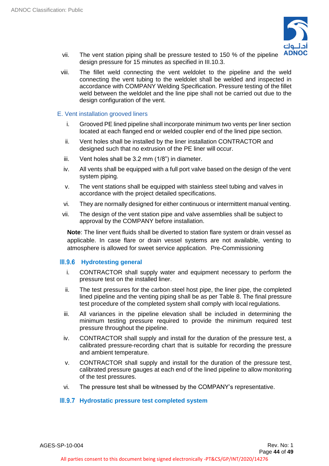

- vii. The vent station piping shall be pressure tested to 150 % of the pipeline design pressure for 15 minutes as specified in III.10.3.
- viii. The fillet weld connecting the vent weldolet to the pipeline and the weld connecting the vent tubing to the weldolet shall be welded and inspected in accordance with COMPANY Welding Specification. Pressure testing of the fillet weld between the weldolet and the line pipe shall not be carried out due to the design configuration of the vent.

# E. Vent installation grooved liners

- i. Grooved PE lined pipeline shall incorporate minimum two vents per liner section located at each flanged end or welded coupler end of the lined pipe section.
- ii. Vent holes shall be installed by the liner installation CONTRACTOR and designed such that no extrusion of the PE liner will occur.
- iii. Vent holes shall be 3.2 mm (1/8") in diameter.
- iv. All vents shall be equipped with a full port valve based on the design of the vent system piping.
- v. The vent stations shall be equipped with stainless steel tubing and valves in accordance with the project detailed specifications.
- vi. They are normally designed for either continuous or intermittent manual venting.
- vii. The design of the vent station pipe and valve assemblies shall be subject to approval by the COMPANY before installation.

**Note**: The liner vent fluids shall be diverted to station flare system or drain vessel as applicable. In case flare or drain vessel systems are not available, venting to atmosphere is allowed for sweet service application. Pre-Commissioning

# **Hydrotesting general**

- <span id="page-43-0"></span>i. CONTRACTOR shall supply water and equipment necessary to perform the pressure test on the installed liner.
- ii. The test pressures for the carbon steel host pipe, the liner pipe, the completed lined pipeline and the venting piping shall be as per Table 8. The final pressure test procedure of the completed system shall comply with local regulations.
- iii. All variances in the pipeline elevation shall be included in determining the minimum testing pressure required to provide the minimum required test pressure throughout the pipeline.
- iv. CONTRACTOR shall supply and install for the duration of the pressure test, a calibrated pressure-recording chart that is suitable for recording the pressure and ambient temperature.
- v. CONTRACTOR shall supply and install for the duration of the pressure test, calibrated pressure gauges at each end of the lined pipeline to allow monitoring of the test pressures.
- vi. The pressure test shall be witnessed by the COMPANY's representative.

# <span id="page-43-1"></span>**Hydrostatic pressure test completed system**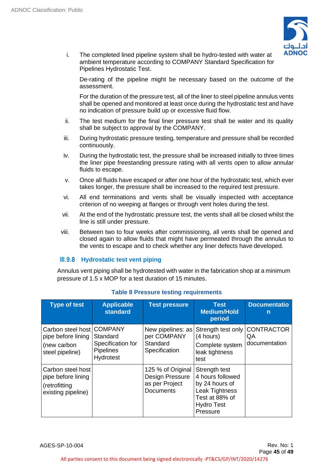

i. The completed lined pipeline system shall be hydro-tested with water at ambient temperature according to COMPANY Standard Specification for Pipelines Hydrostatic Test.

De-rating of the pipeline might be necessary based on the outcome of the assessment.

For the duration of the pressure test, all of the liner to steel pipeline annulus vents shall be opened and monitored at least once during the hydrostatic test and have no indication of pressure build up or excessive fluid flow.

- ii. The test medium for the final liner pressure test shall be water and its quality shall be subject to approval by the COMPANY.
- iii. During hydrostatic pressure testing, temperature and pressure shall be recorded continuously.
- iv. During the hydrostatic test, the pressure shall be increased initially to three times the liner pipe freestanding pressure rating with all vents open to allow annular fluids to escape.
- v. Once all fluids have escaped or after one hour of the hydrostatic test, which ever takes longer, the pressure shall be increased to the required test pressure.
- vi. All end terminations and vents shall be visually inspected with acceptance criterion of no weeping at flanges or through vent holes during the test.
- vii. At the end of the hydrostatic pressure test, the vents shall all be closed whilst the line is still under pressure.
- viii. Between two to four weeks after commissioning, all vents shall be opened and closed again to allow fluids that might have permeated through the annulus to the vents to escape and to check whether any liner defects have developed.

# <span id="page-44-0"></span>**Hydrostatic test vent piping**

Annulus vent piping shall be hydrotested with water in the fabrication shop at a minimum pressure of 1.5 x MOP for a test duration of 15 minutes.

| <b>Type of test</b>                                                                 | <b>Applicable</b><br><b>standard</b>                           | <b>Test pressure</b>                                                       | <b>Test</b><br><b>Medium/Hold</b><br>period                                                                              | <b>Documentatio</b><br>n                 |
|-------------------------------------------------------------------------------------|----------------------------------------------------------------|----------------------------------------------------------------------------|--------------------------------------------------------------------------------------------------------------------------|------------------------------------------|
| Carbon steel host   COMPANY<br>pipe before lining<br>(new carbon<br>steel pipeline) | Standard<br>Specification for<br><b>Pipelines</b><br>Hydrotest | New pipelines: as<br>per COMPANY<br>Standard<br>Specification              | Strength test only<br>(4 hours)<br>Complete system<br>leak tightness<br>test                                             | <b>CONTRACTOR</b><br>QA<br>documentation |
| Carbon steel host<br>pipe before lining<br>(retrofitting<br>existing pipeline)      |                                                                | 125 % of Original<br>Design Pressure<br>as per Project<br><b>Documents</b> | Strength test<br>4 hours followed<br>by 24 hours of<br>Leak Tightness<br>Test at 88% of<br><b>Hydro Test</b><br>Pressure |                                          |

# **Table 8 Pressure testing requirements**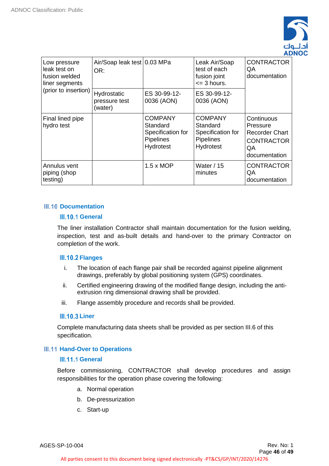

| Low pressure<br>leak test on<br>fusion welded<br>liner segments<br>(prior to insertion) | Air/Soap leak test 0.03 MPa<br>OR:      |                                                                                  | Leak Air/Soap<br>test of each<br>fusion joint<br>$\leq$ 3 hours.          | <b>CONTRACTOR</b><br>QA<br>documentation                                                    |
|-----------------------------------------------------------------------------------------|-----------------------------------------|----------------------------------------------------------------------------------|---------------------------------------------------------------------------|---------------------------------------------------------------------------------------------|
|                                                                                         | Hydrostatic<br>pressure test<br>(water) | ES 30-99-12-<br>0036 (AON)                                                       | ES 30-99-12-<br>0036 (AON)                                                |                                                                                             |
| Final lined pipe<br>hydro test                                                          |                                         | <b>COMPANY</b><br>Standard<br>Specification for<br><b>Pipelines</b><br>Hydrotest | <b>COMPANY</b><br>Standard<br>Specification for<br>Pipelines<br>Hydrotest | Continuous<br>Pressure<br><b>Recorder Chart</b><br><b>CONTRACTOR</b><br>QA<br>documentation |
| Annulus vent<br>piping (shop<br>testing)                                                |                                         | $1.5 \times MOP$                                                                 | Water / 15<br>minutes                                                     | <b>CONTRACTOR</b><br>QA<br>documentation                                                    |

# **III.10 Documentation**

# <span id="page-45-1"></span><span id="page-45-0"></span>**III.10.1 General**

The liner installation Contractor shall maintain documentation for the fusion welding, inspection, test and as-built details and hand-over to the primary Contractor on completion of the work.

# <span id="page-45-2"></span>**III.10.2 Flanges**

- i. The location of each flange pair shall be recorded against pipeline alignment drawings, preferably by global positioning system (GPS) coordinates.
- ii. Certified engineering drawing of the modified flange design, including the antiextrusion ring dimensional drawing shall be provided.
- iii. Flange assembly procedure and records shall be provided.

# <span id="page-45-3"></span>**III.10.3 Liner**

Complete manufacturing data sheets shall be provided as per section III.6 of this specification.

# **Hill.11 Hand-Over to Operations**

# <span id="page-45-4"></span>**III.11.1 General**

Before commissioning, CONTRACTOR shall develop procedures and assign responsibilities for the operation phase covering the following:

- <span id="page-45-5"></span>a. Normal operation
- b. De-pressurization
- c. Start-up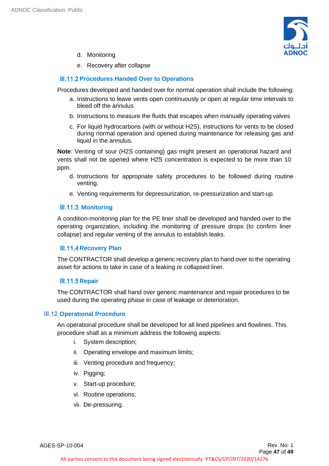

- d. Monitoring
- <span id="page-46-0"></span>e. Recovery after collapse

# **III.11.2 Procedures Handed Over to Operations**

Procedures developed and handed over for normal operation shall include the following:

- a. Instructions to leave vents open continuously or open at regular time intervals to bleed off the annulus
- b. Instructions to measure the fluids that escapes when manually operating valves
- c. For liquid hydrocarbons (with or without H2S), instructions for vents to be closed during normal operation and opened during maintenance for releasing gas and liquid in the annulus.

**Note**: Venting of sour (H2S containing) gas might present an operational hazard and vents shall not be opened where H2S concentration is expected to be more than 10 ppm.

- d. Instructions for appropriate safety procedures to be followed during routine venting.
- <span id="page-46-1"></span>e. Venting requirements for depressurization, re-pressurization and start-up.

# **III.11.3 Monitoring**

A condition-monitoring plan for the PE liner shall be developed and handed over to the operating organization, including the monitoring of pressure drops (to confirm liner collapse) and regular venting of the annulus to establish leaks.

# <span id="page-46-2"></span>**III.11.4 Recovery Plan**

The CONTRACTOR shall develop a generic recovery plan to hand over to the operating asset for actions to take in case of a leaking or collapsed liner.

# <span id="page-46-3"></span>**III.11.5 Repair**

The CONTRACTOR shall hand over generic maintenance and repair procedures to be used during the operating phase in case of leakage or deterioration.

# **III.12 Operational Procedure**

<span id="page-46-4"></span>An operational procedure shall be developed for all lined pipelines and flowlines. This procedure shall as a minimum address the following aspects:

- i. System description;
- ii. Operating envelope and maximum limits;
- iii. Venting procedure and frequency;
- iv. Pigging;
- v. Start-up procedure;
- vi. Routine operations;
- vii. De-pressuring.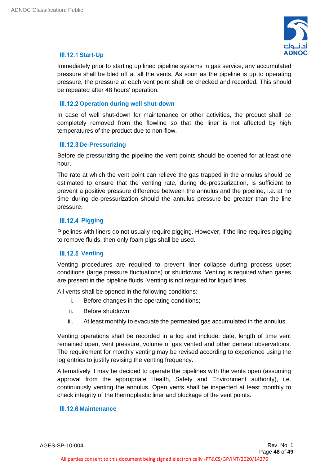

# <span id="page-47-0"></span>**III.12.1 Start-Up**

Immediately prior to starting up lined pipeline systems in gas service, any accumulated pressure shall be bled off at all the vents. As soon as the pipeline is up to operating pressure, the pressure at each vent point shall be checked and recorded. This should be repeated after 48 hours' operation.

# <span id="page-47-1"></span>**III.12.2 Operation during well shut-down**

In case of well shut-down for maintenance or other activities, the product shall be completely removed from the flowline so that the liner is not affected by high temperatures of the product due to non-flow.

# <span id="page-47-2"></span>**III.12.3 De-Pressurizing**

Before de-pressurizing the pipeline the vent points should be opened for at least one hour.

The rate at which the vent point can relieve the gas trapped in the annulus should be estimated to ensure that the venting rate, during de-pressurization, is sufficient to prevent a positive pressure difference between the annulus and the pipeline, i.e. at no time during de-pressurization should the annulus pressure be greater than the line pressure.

# <span id="page-47-3"></span>**III.12.4 Pigging**

Pipelines with liners do not usually require pigging. However, if the line requires pigging to remove fluids, then only foam pigs shall be used.

# <span id="page-47-4"></span>**III.12.5 Venting**

Venting procedures are required to prevent liner collapse during process upset conditions (large pressure fluctuations) or shutdowns. Venting is required when gases are present in the pipeline fluids. Venting is not required for liquid lines.

All vents shall be opened in the following conditions:

- i. Before changes in the operating conditions;
- ii. Before shutdown;
- iii. At least monthly to evacuate the permeated gas accumulated in the annulus.

Venting operations shall be recorded in a log and include: date, length of time vent remained open, vent pressure, volume of gas vented and other general observations. The requirement for monthly venting may be revised according to experience using the log entries to justify revising the venting frequency.

Alternatively it may be decided to operate the pipelines with the vents open (assuming approval from the appropriate Health, Safety and Environment authority), i.e. continuously venting the annulus. Open vents shall be inspected at least monthly to check integrity of the thermoplastic liner and blockage of the vent points.

# <span id="page-47-5"></span>**III.12.6 Maintenance**